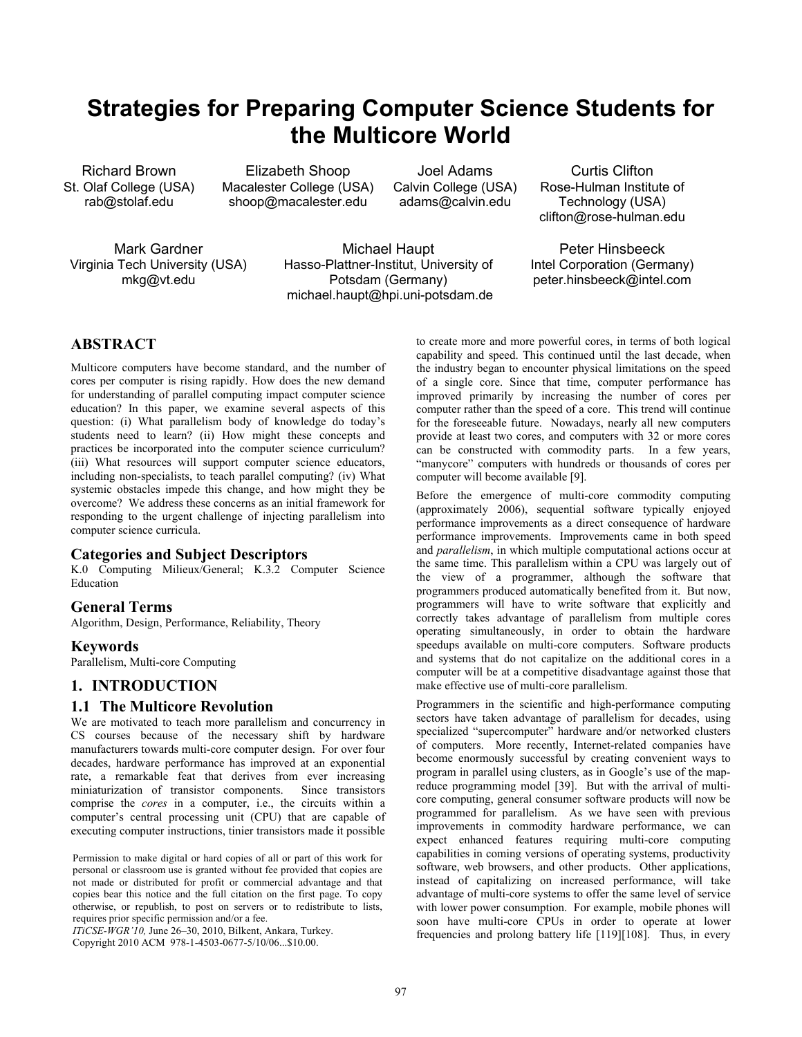# **Strategies for Preparing Computer Science Students for the Multicore World**

Richard Brown St. Olaf College (USA) rab@stolaf.edu

Elizabeth Shoop Macalester College (USA) shoop@macalester.edu

Joel Adams Calvin College (USA) adams@calvin.edu

Mark Gardner Virginia Tech University (USA) mkg@vt.edu

Michael Haupt Hasso-Plattner-Institut, University of Potsdam (Germany) michael.haupt@hpi.uni-potsdam.de

Curtis Clifton Rose-Hulman Institute of Technology (USA) clifton@rose-hulman.edu

Peter Hinsbeeck Intel Corporation (Germany) peter.hinsbeeck@intel.com

# **ABSTRACT**

Multicore computers have become standard, and the number of cores per computer is rising rapidly. How does the new demand for understanding of parallel computing impact computer science education? In this paper, we examine several aspects of this question: (i) What parallelism body of knowledge do today's students need to learn? (ii) How might these concepts and practices be incorporated into the computer science curriculum? (iii) What resources will support computer science educators, including non-specialists, to teach parallel computing? (iv) What systemic obstacles impede this change, and how might they be overcome? We address these concerns as an initial framework for responding to the urgent challenge of injecting parallelism into computer science curricula.

## **Categories and Subject Descriptors**

K.0 Computing Milieux/General; K.3.2 Computer Science Education

## **General Terms**

Algorithm, Design, Performance, Reliability, Theory

### **Keywords**

Parallelism, Multi-core Computing

# **1. INTRODUCTION**

### **1.1 The Multicore Revolution**

We are motivated to teach more parallelism and concurrency in CS courses because of the necessary shift by hardware manufacturers towards multi-core computer design. For over four decades, hardware performance has improved at an exponential rate, a remarkable feat that derives from ever increasing miniaturization of transistor components. Since transistors comprise the *cores* in a computer, i.e., the circuits within a computer's central processing unit (CPU) that are capable of executing computer instructions, tinier transistors made it possible

*ITiCSE-WGR'10,* June 26–30, 2010, Bilkent, Ankara, Turkey. Copyright 2010 ACM 978-1-4503-0677-5/10/06...\$10.00.

to create more and more powerful cores, in terms of both logical capability and speed. This continued until the last decade, when the industry began to encounter physical limitations on the speed of a single core. Since that time, computer performance has improved primarily by increasing the number of cores per computer rather than the speed of a core. This trend will continue for the foreseeable future. Nowadays, nearly all new computers provide at least two cores, and computers with 32 or more cores can be constructed with commodity parts. In a few years, "manycore" computers with hundreds or thousands of cores per computer will become available [9].

Before the emergence of multi-core commodity computing (approximately 2006), sequential software typically enjoyed performance improvements as a direct consequence of hardware performance improvements. Improvements came in both speed and *parallelism*, in which multiple computational actions occur at the same time. This parallelism within a CPU was largely out of the view of a programmer, although the software that programmers produced automatically benefited from it. But now, programmers will have to write software that explicitly and correctly takes advantage of parallelism from multiple cores operating simultaneously, in order to obtain the hardware speedups available on multi-core computers. Software products and systems that do not capitalize on the additional cores in a computer will be at a competitive disadvantage against those that make effective use of multi-core parallelism.

Programmers in the scientific and high-performance computing sectors have taken advantage of parallelism for decades, using specialized "supercomputer" hardware and/or networked clusters of computers. More recently, Internet-related companies have become enormously successful by creating convenient ways to program in parallel using clusters, as in Google's use of the mapreduce programming model [39]. But with the arrival of multicore computing, general consumer software products will now be programmed for parallelism. As we have seen with previous improvements in commodity hardware performance, we can expect enhanced features requiring multi-core computing capabilities in coming versions of operating systems, productivity software, web browsers, and other products. Other applications, instead of capitalizing on increased performance, will take advantage of multi-core systems to offer the same level of service with lower power consumption. For example, mobile phones will soon have multi-core CPUs in order to operate at lower frequencies and prolong battery life [119][108]. Thus, in every

Permission to make digital or hard copies of all or part of this work for personal or classroom use is granted without fee provided that copies are not made or distributed for profit or commercial advantage and that copies bear this notice and the full citation on the first page. To copy otherwise, or republish, to post on servers or to redistribute to lists, requires prior specific permission and/or a fee.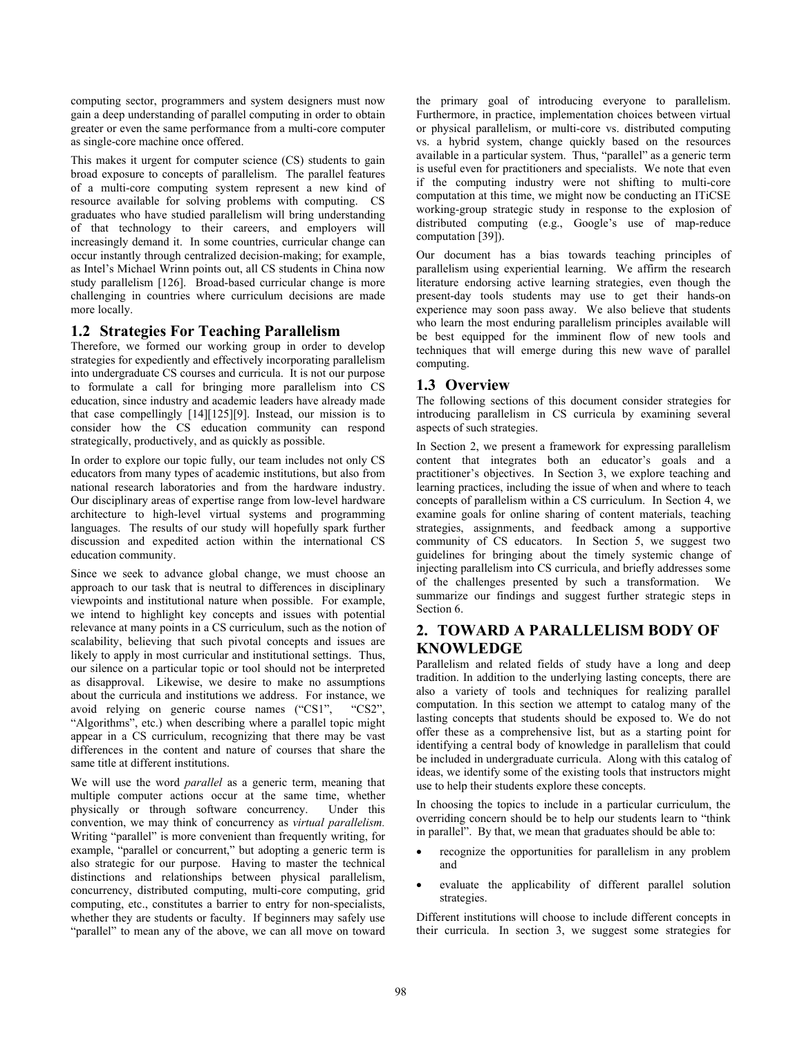computing sector, programmers and system designers must now gain a deep understanding of parallel computing in order to obtain greater or even the same performance from a multi-core computer as single-core machine once offered.

This makes it urgent for computer science (CS) students to gain broad exposure to concepts of parallelism. The parallel features of a multi-core computing system represent a new kind of resource available for solving problems with computing. CS graduates who have studied parallelism will bring understanding of that technology to their careers, and employers will increasingly demand it. In some countries, curricular change can occur instantly through centralized decision-making; for example, as Intel's Michael Wrinn points out, all CS students in China now study parallelism [126]. Broad-based curricular change is more challenging in countries where curriculum decisions are made more locally.

# **1.2 Strategies For Teaching Parallelism**

Therefore, we formed our working group in order to develop strategies for expediently and effectively incorporating parallelism into undergraduate CS courses and curricula. It is not our purpose to formulate a call for bringing more parallelism into CS education, since industry and academic leaders have already made that case compellingly [14][125][9]. Instead, our mission is to consider how the CS education community can respond strategically, productively, and as quickly as possible.

In order to explore our topic fully, our team includes not only CS educators from many types of academic institutions, but also from national research laboratories and from the hardware industry. Our disciplinary areas of expertise range from low-level hardware architecture to high-level virtual systems and programming languages. The results of our study will hopefully spark further discussion and expedited action within the international CS education community.

Since we seek to advance global change, we must choose an approach to our task that is neutral to differences in disciplinary viewpoints and institutional nature when possible. For example, we intend to highlight key concepts and issues with potential relevance at many points in a CS curriculum, such as the notion of scalability, believing that such pivotal concepts and issues are likely to apply in most curricular and institutional settings. Thus, our silence on a particular topic or tool should not be interpreted as disapproval. Likewise, we desire to make no assumptions about the curricula and institutions we address. For instance, we avoid relying on generic course names ("CS1", "CS2", "Algorithms", etc.) when describing where a parallel topic might appear in a CS curriculum, recognizing that there may be vast differences in the content and nature of courses that share the same title at different institutions.

We will use the word *parallel* as a generic term, meaning that multiple computer actions occur at the same time, whether physically or through software concurrency. Under this physically or through software concurrency. convention, we may think of concurrency as *virtual parallelism.* Writing "parallel" is more convenient than frequently writing, for example, "parallel or concurrent," but adopting a generic term is also strategic for our purpose. Having to master the technical distinctions and relationships between physical parallelism, concurrency, distributed computing, multi-core computing, grid computing, etc., constitutes a barrier to entry for non-specialists, whether they are students or faculty. If beginners may safely use "parallel" to mean any of the above, we can all move on toward the primary goal of introducing everyone to parallelism. Furthermore, in practice, implementation choices between virtual or physical parallelism, or multi-core vs. distributed computing vs. a hybrid system, change quickly based on the resources available in a particular system. Thus, "parallel" as a generic term is useful even for practitioners and specialists. We note that even if the computing industry were not shifting to multi-core computation at this time, we might now be conducting an ITiCSE working-group strategic study in response to the explosion of distributed computing (e.g., Google's use of map-reduce computation [39]).

Our document has a bias towards teaching principles of parallelism using experiential learning. We affirm the research literature endorsing active learning strategies, even though the present-day tools students may use to get their hands-on experience may soon pass away. We also believe that students who learn the most enduring parallelism principles available will be best equipped for the imminent flow of new tools and techniques that will emerge during this new wave of parallel computing.

# **1.3 Overview**

The following sections of this document consider strategies for introducing parallelism in CS curricula by examining several aspects of such strategies.

In Section 2, we present a framework for expressing parallelism content that integrates both an educator's goals and a practitioner's objectives. In Section 3, we explore teaching and learning practices, including the issue of when and where to teach concepts of parallelism within a CS curriculum. In Section 4, we examine goals for online sharing of content materials, teaching strategies, assignments, and feedback among a supportive community of CS educators. In Section 5, we suggest two guidelines for bringing about the timely systemic change of injecting parallelism into CS curricula, and briefly addresses some of the challenges presented by such a transformation. We summarize our findings and suggest further strategic steps in Section 6.

# **2. TOWARD A PARALLELISM BODY OF KNOWLEDGE**

Parallelism and related fields of study have a long and deep tradition. In addition to the underlying lasting concepts, there are also a variety of tools and techniques for realizing parallel computation. In this section we attempt to catalog many of the lasting concepts that students should be exposed to. We do not offer these as a comprehensive list, but as a starting point for identifying a central body of knowledge in parallelism that could be included in undergraduate curricula. Along with this catalog of ideas, we identify some of the existing tools that instructors might use to help their students explore these concepts.

In choosing the topics to include in a particular curriculum, the overriding concern should be to help our students learn to "think in parallel". By that, we mean that graduates should be able to:

- recognize the opportunities for parallelism in any problem and
- evaluate the applicability of different parallel solution strategies.

Different institutions will choose to include different concepts in their curricula. In section 3, we suggest some strategies for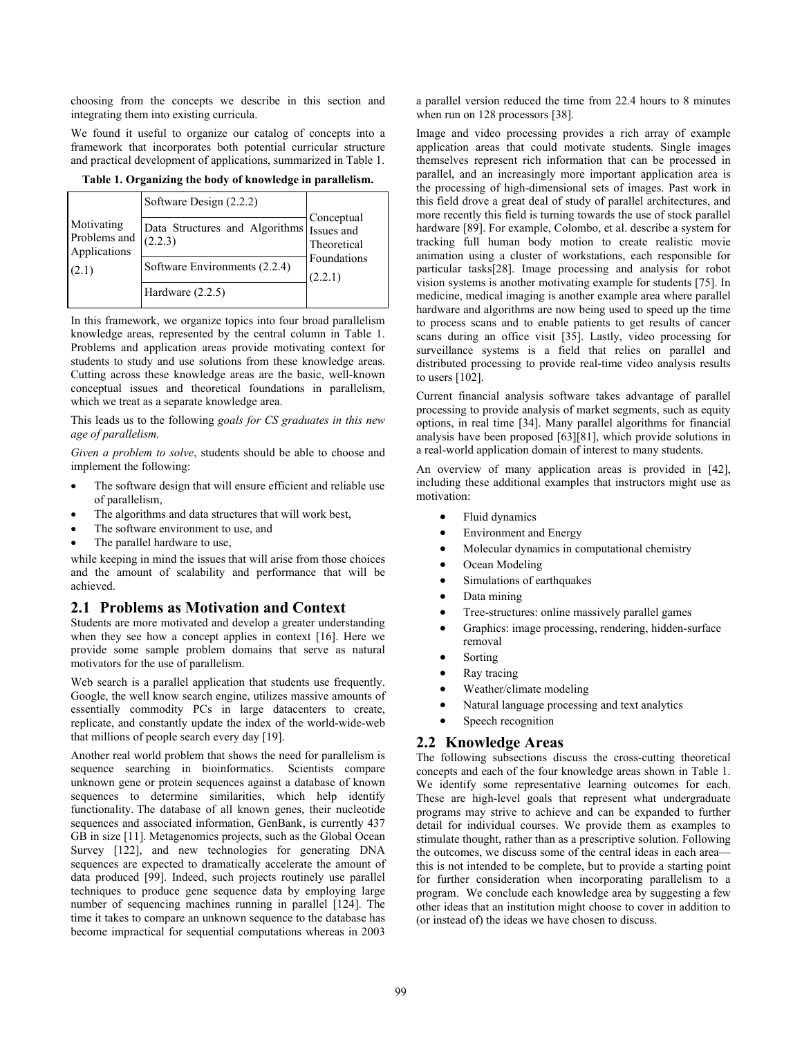choosing from the concepts we describe in this section and integrating them into existing curricula.

We found it useful to organize our catalog of concepts into a framework that incorporates both potential curricular structure and practical development of applications, summarized in Table 1.

|                                                     | Software Design (2.2.2)                              |                                                     |
|-----------------------------------------------------|------------------------------------------------------|-----------------------------------------------------|
| Motivating<br>Problems and<br>Applications<br>(2.1) | Data Structures and Algorithms Issues and<br>(2.2.3) | Conceptual<br>Theoretical<br>Foundations<br>(2.2.1) |
|                                                     | Software Environments (2.2.4)                        |                                                     |
|                                                     | Hardware $(2.2.5)$                                   |                                                     |

**Table 1. Organizing the body of knowledge in parallelism.** 

In this framework, we organize topics into four broad parallelism knowledge areas, represented by the central column in Table 1. Problems and application areas provide motivating context for students to study and use solutions from these knowledge areas. Cutting across these knowledge areas are the basic, well-known conceptual issues and theoretical foundations in parallelism, which we treat as a separate knowledge area.

This leads us to the following *goals for CS graduates in this new age of parallelism*.

*Given a problem to solve*, students should be able to choose and implement the following:

- The software design that will ensure efficient and reliable use of parallelism,
- The algorithms and data structures that will work best,
- The software environment to use, and
- The parallel hardware to use,

while keeping in mind the issues that will arise from those choices and the amount of scalability and performance that will be achieved.

## **2.1 Problems as Motivation and Context**

Students are more motivated and develop a greater understanding when they see how a concept applies in context [16]. Here we provide some sample problem domains that serve as natural motivators for the use of parallelism.

Web search is a parallel application that students use frequently. Google, the well know search engine, utilizes massive amounts of essentially commodity PCs in large datacenters to create, replicate, and constantly update the index of the world-wide-web that millions of people search every day [19].

Another real world problem that shows the need for parallelism is sequence searching in bioinformatics. Scientists compare unknown gene or protein sequences against a database of known sequences to determine similarities, which help identify functionality. The database of all known genes, their nucleotide sequences and associated information, GenBank, is currently 437 GB in size [11]. Metagenomics projects, such as the Global Ocean Survey [122], and new technologies for generating DNA sequences are expected to dramatically accelerate the amount of data produced [99]. Indeed, such projects routinely use parallel techniques to produce gene sequence data by employing large number of sequencing machines running in parallel [124]. The time it takes to compare an unknown sequence to the database has become impractical for sequential computations whereas in 2003

a parallel version reduced the time from 22.4 hours to 8 minutes when run on 128 processors [38].

Image and video processing provides a rich array of example application areas that could motivate students. Single images themselves represent rich information that can be processed in parallel, and an increasingly more important application area is the processing of high-dimensional sets of images. Past work in this field drove a great deal of study of parallel architectures, and more recently this field is turning towards the use of stock parallel hardware [89]. For example, Colombo, et al. describe a system for tracking full human body motion to create realistic movie animation using a cluster of workstations, each responsible for particular tasks[28]. Image processing and analysis for robot vision systems is another motivating example for students [75]. In medicine, medical imaging is another example area where parallel hardware and algorithms are now being used to speed up the time to process scans and to enable patients to get results of cancer scans during an office visit [35]. Lastly, video processing for surveillance systems is a field that relies on parallel and distributed processing to provide real-time video analysis results to users [102].

Current financial analysis software takes advantage of parallel processing to provide analysis of market segments, such as equity options, in real time [34]. Many parallel algorithms for financial analysis have been proposed [63][81], which provide solutions in a real-world application domain of interest to many students.

An overview of many application areas is provided in [42], including these additional examples that instructors might use as motivation:

- Fluid dynamics
- Environment and Energy
- Molecular dynamics in computational chemistry
- Ocean Modeling
- Simulations of earthquakes
- Data mining
- Tree-structures: online massively parallel games
- Graphics: image processing, rendering, hidden-surface removal
- Sorting
- Ray tracing
- Weather/climate modeling
- Natural language processing and text analytics
- Speech recognition

# **2.2 Knowledge Areas**

The following subsections discuss the cross-cutting theoretical concepts and each of the four knowledge areas shown in Table 1. We identify some representative learning outcomes for each. These are high-level goals that represent what undergraduate programs may strive to achieve and can be expanded to further detail for individual courses. We provide them as examples to stimulate thought, rather than as a prescriptive solution. Following the outcomes, we discuss some of the central ideas in each area this is not intended to be complete, but to provide a starting point for further consideration when incorporating parallelism to a program. We conclude each knowledge area by suggesting a few other ideas that an institution might choose to cover in addition to (or instead of) the ideas we have chosen to discuss.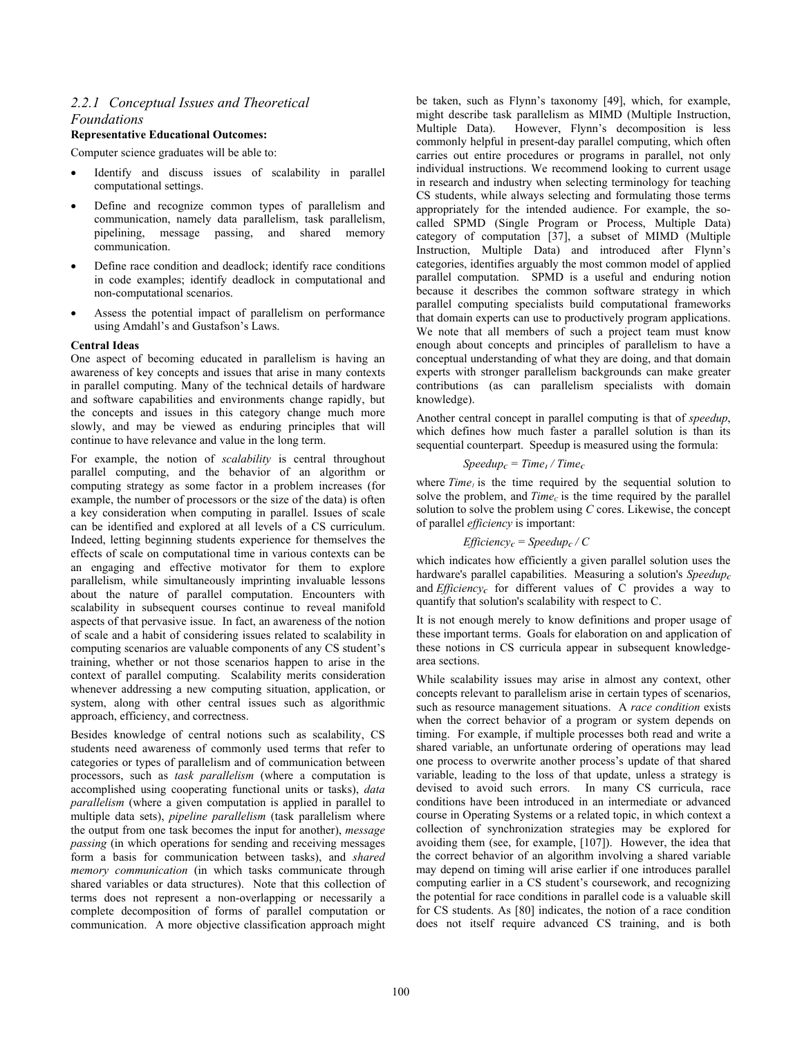# *2.2.1 Conceptual Issues and Theoretical Foundations*

#### **Representative Educational Outcomes:**

Computer science graduates will be able to:

- Identify and discuss issues of scalability in parallel computational settings.
- Define and recognize common types of parallelism and communication, namely data parallelism, task parallelism, pipelining, message passing, and shared memory communication.
- Define race condition and deadlock; identify race conditions in code examples; identify deadlock in computational and non-computational scenarios.
- Assess the potential impact of parallelism on performance using Amdahl's and Gustafson's Laws.

#### **Central Ideas**

One aspect of becoming educated in parallelism is having an awareness of key concepts and issues that arise in many contexts in parallel computing. Many of the technical details of hardware and software capabilities and environments change rapidly, but the concepts and issues in this category change much more slowly, and may be viewed as enduring principles that will continue to have relevance and value in the long term.

For example, the notion of *scalability* is central throughout parallel computing, and the behavior of an algorithm or computing strategy as some factor in a problem increases (for example, the number of processors or the size of the data) is often a key consideration when computing in parallel. Issues of scale can be identified and explored at all levels of a CS curriculum. Indeed, letting beginning students experience for themselves the effects of scale on computational time in various contexts can be an engaging and effective motivator for them to explore parallelism, while simultaneously imprinting invaluable lessons about the nature of parallel computation. Encounters with scalability in subsequent courses continue to reveal manifold aspects of that pervasive issue. In fact, an awareness of the notion of scale and a habit of considering issues related to scalability in computing scenarios are valuable components of any CS student's training, whether or not those scenarios happen to arise in the context of parallel computing. Scalability merits consideration whenever addressing a new computing situation, application, or system, along with other central issues such as algorithmic approach, efficiency, and correctness.

Besides knowledge of central notions such as scalability, CS students need awareness of commonly used terms that refer to categories or types of parallelism and of communication between processors, such as *task parallelism* (where a computation is accomplished using cooperating functional units or tasks), *data parallelism* (where a given computation is applied in parallel to multiple data sets), *pipeline parallelism* (task parallelism where the output from one task becomes the input for another), *message passing* (in which operations for sending and receiving messages form a basis for communication between tasks), and *shared memory communication* (in which tasks communicate through shared variables or data structures). Note that this collection of terms does not represent a non-overlapping or necessarily a complete decomposition of forms of parallel computation or communication. A more objective classification approach might be taken, such as Flynn's taxonomy [49], which, for example, might describe task parallelism as MIMD (Multiple Instruction, Multiple Data). However, Flynn's decomposition is less commonly helpful in present-day parallel computing, which often carries out entire procedures or programs in parallel, not only individual instructions. We recommend looking to current usage in research and industry when selecting terminology for teaching CS students, while always selecting and formulating those terms appropriately for the intended audience. For example, the socalled SPMD (Single Program or Process, Multiple Data) category of computation [37], a subset of MIMD (Multiple Instruction, Multiple Data) and introduced after Flynn's categories, identifies arguably the most common model of applied parallel computation. SPMD is a useful and enduring notion because it describes the common software strategy in which parallel computing specialists build computational frameworks that domain experts can use to productively program applications. We note that all members of such a project team must know enough about concepts and principles of parallelism to have a conceptual understanding of what they are doing, and that domain experts with stronger parallelism backgrounds can make greater contributions (as can parallelism specialists with domain knowledge).

Another central concept in parallel computing is that of *speedup*, which defines how much faster a parallel solution is than its sequential counterpart. Speedup is measured using the formula:

$$
Speedup_c = Time_1 / Time_c
$$

where  $Time<sub>1</sub>$  is the time required by the sequential solution to solve the problem, and  $Time<sub>c</sub>$  is the time required by the parallel solution to solve the problem using *C* cores. Likewise, the concept of parallel *efficiency* is important:

#### *Efficiency<sub>c</sub>* = *Speedup<sub>c</sub>* / *C*

which indicates how efficiently a given parallel solution uses the hardware's parallel capabilities. Measuring a solution's *Speedup<sub>c</sub>* and *Efficiency<sub>c</sub>* for different values of C provides a way to quantify that solution's scalability with respect to C.

It is not enough merely to know definitions and proper usage of these important terms. Goals for elaboration on and application of these notions in CS curricula appear in subsequent knowledgearea sections.

While scalability issues may arise in almost any context, other concepts relevant to parallelism arise in certain types of scenarios, such as resource management situations. A *race condition* exists when the correct behavior of a program or system depends on timing. For example, if multiple processes both read and write a shared variable, an unfortunate ordering of operations may lead one process to overwrite another process's update of that shared variable, leading to the loss of that update, unless a strategy is devised to avoid such errors. In many CS curricula, race conditions have been introduced in an intermediate or advanced course in Operating Systems or a related topic, in which context a collection of synchronization strategies may be explored for avoiding them (see, for example, [107]). However, the idea that the correct behavior of an algorithm involving a shared variable may depend on timing will arise earlier if one introduces parallel computing earlier in a CS student's coursework, and recognizing the potential for race conditions in parallel code is a valuable skill for CS students. As [80] indicates, the notion of a race condition does not itself require advanced CS training, and is both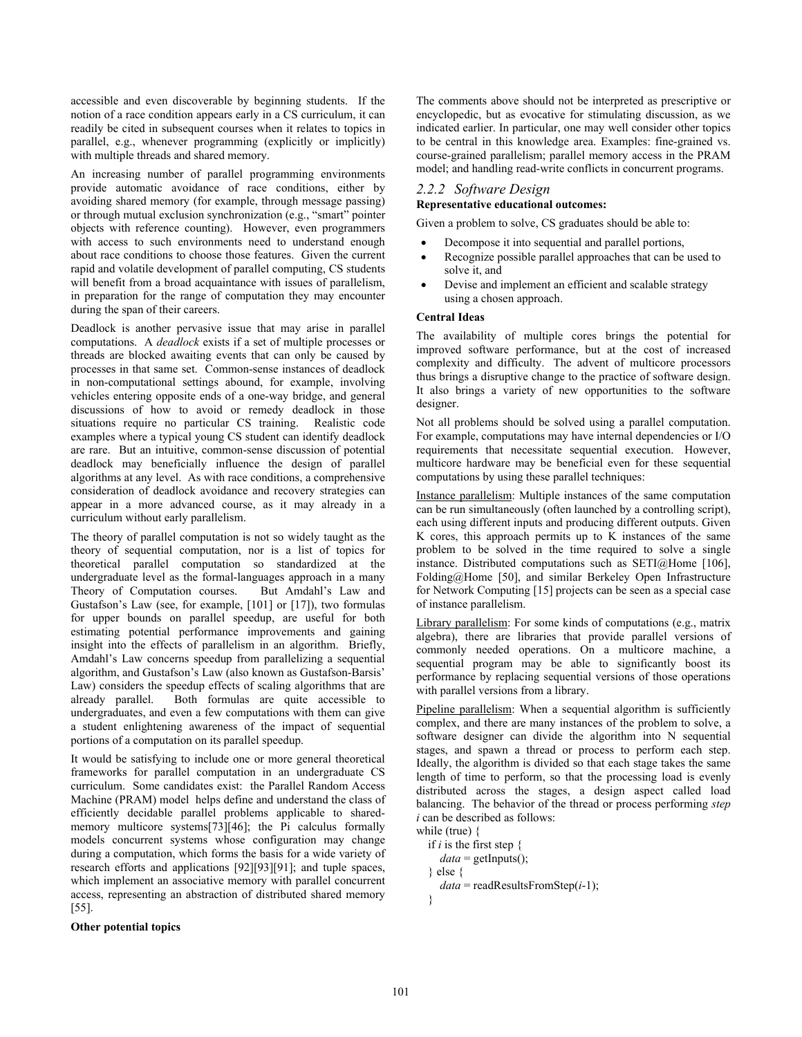accessible and even discoverable by beginning students. If the notion of a race condition appears early in a CS curriculum, it can readily be cited in subsequent courses when it relates to topics in parallel, e.g., whenever programming (explicitly or implicitly) with multiple threads and shared memory.

An increasing number of parallel programming environments provide automatic avoidance of race conditions, either by avoiding shared memory (for example, through message passing) or through mutual exclusion synchronization (e.g., "smart" pointer objects with reference counting). However, even programmers with access to such environments need to understand enough about race conditions to choose those features. Given the current rapid and volatile development of parallel computing, CS students will benefit from a broad acquaintance with issues of parallelism, in preparation for the range of computation they may encounter during the span of their careers.

Deadlock is another pervasive issue that may arise in parallel computations. A *deadlock* exists if a set of multiple processes or threads are blocked awaiting events that can only be caused by processes in that same set. Common-sense instances of deadlock in non-computational settings abound, for example, involving vehicles entering opposite ends of a one-way bridge, and general discussions of how to avoid or remedy deadlock in those situations require no particular CS training. Realistic code examples where a typical young CS student can identify deadlock are rare. But an intuitive, common-sense discussion of potential deadlock may beneficially influence the design of parallel algorithms at any level. As with race conditions, a comprehensive consideration of deadlock avoidance and recovery strategies can appear in a more advanced course, as it may already in a curriculum without early parallelism.

The theory of parallel computation is not so widely taught as the theory of sequential computation, nor is a list of topics for theoretical parallel computation so standardized at the undergraduate level as the formal-languages approach in a many Theory of Computation courses. But Amdahl's Law and Gustafson's Law (see, for example, [101] or [17]), two formulas for upper bounds on parallel speedup, are useful for both estimating potential performance improvements and gaining insight into the effects of parallelism in an algorithm. Briefly, Amdahl's Law concerns speedup from parallelizing a sequential algorithm, and Gustafson's Law (also known as Gustafson-Barsis' Law) considers the speedup effects of scaling algorithms that are already parallel. Both formulas are quite accessible to undergraduates, and even a few computations with them can give a student enlightening awareness of the impact of sequential portions of a computation on its parallel speedup.

It would be satisfying to include one or more general theoretical frameworks for parallel computation in an undergraduate CS curriculum. Some candidates exist: the Parallel Random Access Machine (PRAM) model helps define and understand the class of efficiently decidable parallel problems applicable to sharedmemory multicore systems[73][46]; the Pi calculus formally models concurrent systems whose configuration may change during a computation, which forms the basis for a wide variety of research efforts and applications [92][93][91]; and tuple spaces, which implement an associative memory with parallel concurrent access, representing an abstraction of distributed shared memory [55].

#### **Other potential topics**

The comments above should not be interpreted as prescriptive or encyclopedic, but as evocative for stimulating discussion, as we indicated earlier. In particular, one may well consider other topics to be central in this knowledge area. Examples: fine-grained vs. course-grained parallelism; parallel memory access in the PRAM model; and handling read-write conflicts in concurrent programs.

#### *2.2.2 Software Design*  **Representative educational outcomes:**

Given a problem to solve, CS graduates should be able to:

- Decompose it into sequential and parallel portions,
- Recognize possible parallel approaches that can be used to solve it, and
- Devise and implement an efficient and scalable strategy using a chosen approach.

#### **Central Ideas**

The availability of multiple cores brings the potential for improved software performance, but at the cost of increased complexity and difficulty. The advent of multicore processors thus brings a disruptive change to the practice of software design. It also brings a variety of new opportunities to the software designer.

Not all problems should be solved using a parallel computation. For example, computations may have internal dependencies or I/O requirements that necessitate sequential execution. However, multicore hardware may be beneficial even for these sequential computations by using these parallel techniques:

Instance parallelism: Multiple instances of the same computation can be run simultaneously (often launched by a controlling script), each using different inputs and producing different outputs. Given K cores, this approach permits up to K instances of the same problem to be solved in the time required to solve a single instance. Distributed computations such as SETI@Home [106], Folding@Home [50], and similar Berkeley Open Infrastructure for Network Computing [15] projects can be seen as a special case of instance parallelism.

Library parallelism: For some kinds of computations (e.g., matrix algebra), there are libraries that provide parallel versions of commonly needed operations. On a multicore machine, a sequential program may be able to significantly boost its performance by replacing sequential versions of those operations with parallel versions from a library.

Pipeline parallelism: When a sequential algorithm is sufficiently complex, and there are many instances of the problem to solve, a software designer can divide the algorithm into N sequential stages, and spawn a thread or process to perform each step. Ideally, the algorithm is divided so that each stage takes the same length of time to perform, so that the processing load is evenly distributed across the stages, a design aspect called load balancing. The behavior of the thread or process performing *step i* can be described as follows:

```
while (true) { 
   if i is the first step {
```

```
 data = getInputs(); 
   } else { 
     data = readResultsFromStep(i-1); 
 }
```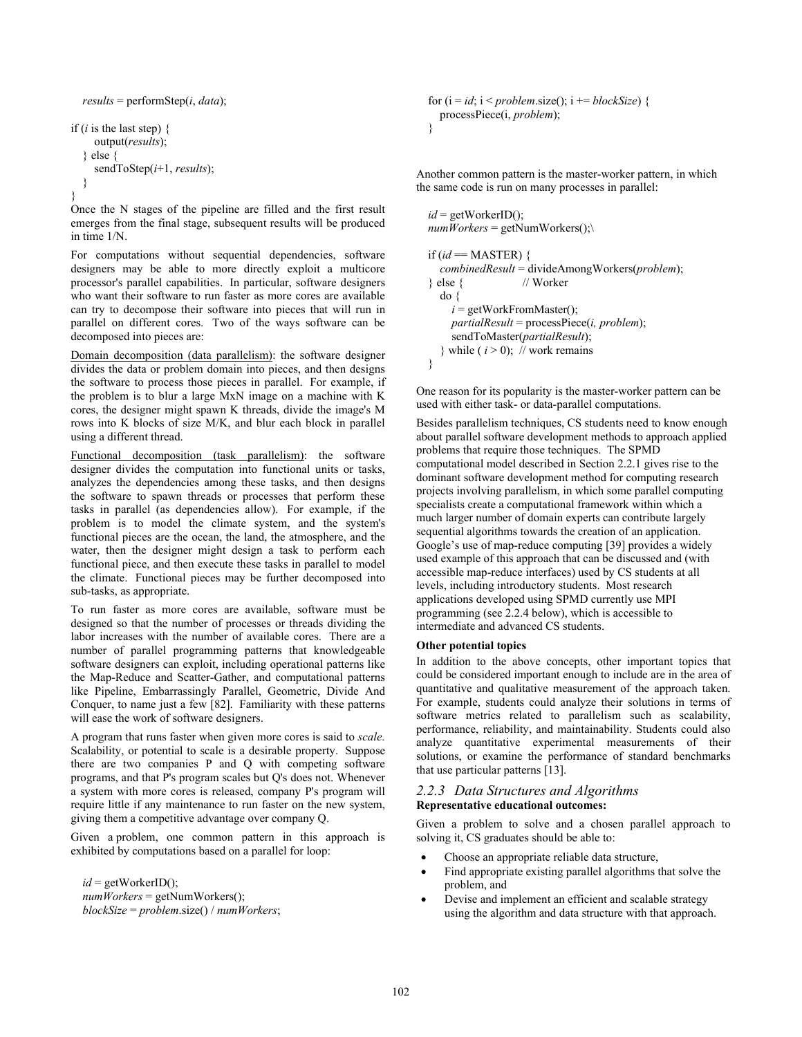```
 results = performStep(i, data); 
if (i is the last step) { 
      output(results); 
    } else { 
      sendToStep(i+1, results); 
   } 
}
```
Once the N stages of the pipeline are filled and the first result emerges from the final stage, subsequent results will be produced in time 1/N.

For computations without sequential dependencies, software designers may be able to more directly exploit a multicore processor's parallel capabilities. In particular, software designers who want their software to run faster as more cores are available can try to decompose their software into pieces that will run in parallel on different cores. Two of the ways software can be decomposed into pieces are:

Domain decomposition (data parallelism): the software designer divides the data or problem domain into pieces, and then designs the software to process those pieces in parallel. For example, if the problem is to blur a large MxN image on a machine with K cores, the designer might spawn K threads, divide the image's M rows into K blocks of size M/K, and blur each block in parallel using a different thread.

Functional decomposition (task parallelism): the software designer divides the computation into functional units or tasks, analyzes the dependencies among these tasks, and then designs the software to spawn threads or processes that perform these tasks in parallel (as dependencies allow). For example, if the problem is to model the climate system, and the system's functional pieces are the ocean, the land, the atmosphere, and the water, then the designer might design a task to perform each functional piece, and then execute these tasks in parallel to model the climate. Functional pieces may be further decomposed into sub-tasks, as appropriate.

To run faster as more cores are available, software must be designed so that the number of processes or threads dividing the labor increases with the number of available cores. There are a number of parallel programming patterns that knowledgeable software designers can exploit, including operational patterns like the Map-Reduce and Scatter-Gather, and computational patterns like Pipeline, Embarrassingly Parallel, Geometric, Divide And Conquer, to name just a few [82]. Familiarity with these patterns will ease the work of software designers.

A program that runs faster when given more cores is said to *scale.*  Scalability, or potential to scale is a desirable property. Suppose there are two companies P and Q with competing software programs, and that P's program scales but Q's does not. Whenever a system with more cores is released, company P's program will require little if any maintenance to run faster on the new system, giving them a competitive advantage over company Q.

Given a problem, one common pattern in this approach is exhibited by computations based on a parallel for loop:

 *id* = getWorkerID(); *numWorkers* = getNumWorkers(); *blockSize* = *problem*.size() / *numWorkers*;

```
for (i = id; i < problem.size(); i += blockSize) {
     processPiece(i, problem); 
 }
```
Another common pattern is the master-worker pattern, in which the same code is run on many processes in parallel:

```
id = getWorkerID();
numWorks = getNumWorks(S);
if (id = \text{MASTER}) {
   combinedResult = divideAmongWorkers(problem); 
 } else { // Worker 
   do { 
     i = getWorkFromMaster(); 
     partialResult = processPiece(i, problem); 
     sendToMaster(partialResult); 
  } while (i > 0); // work remains
 }
```
One reason for its popularity is the master-worker pattern can be used with either task- or data-parallel computations.

Besides parallelism techniques, CS students need to know enough about parallel software development methods to approach applied problems that require those techniques. The SPMD computational model described in Section 2.2.1 gives rise to the dominant software development method for computing research projects involving parallelism, in which some parallel computing specialists create a computational framework within which a much larger number of domain experts can contribute largely sequential algorithms towards the creation of an application. Google's use of map-reduce computing [39] provides a widely used example of this approach that can be discussed and (with accessible map-reduce interfaces) used by CS students at all levels, including introductory students. Most research applications developed using SPMD currently use MPI programming (see 2.2.4 below), which is accessible to intermediate and advanced CS students.

#### **Other potential topics**

In addition to the above concepts, other important topics that could be considered important enough to include are in the area of quantitative and qualitative measurement of the approach taken. For example, students could analyze their solutions in terms of software metrics related to parallelism such as scalability, performance, reliability, and maintainability. Students could also analyze quantitative experimental measurements of their solutions, or examine the performance of standard benchmarks that use particular patterns [13].

#### *2.2.3 Data Structures and Algorithms*  **Representative educational outcomes:**

Given a problem to solve and a chosen parallel approach to solving it, CS graduates should be able to:

- Choose an appropriate reliable data structure,
- Find appropriate existing parallel algorithms that solve the problem, and
- Devise and implement an efficient and scalable strategy using the algorithm and data structure with that approach.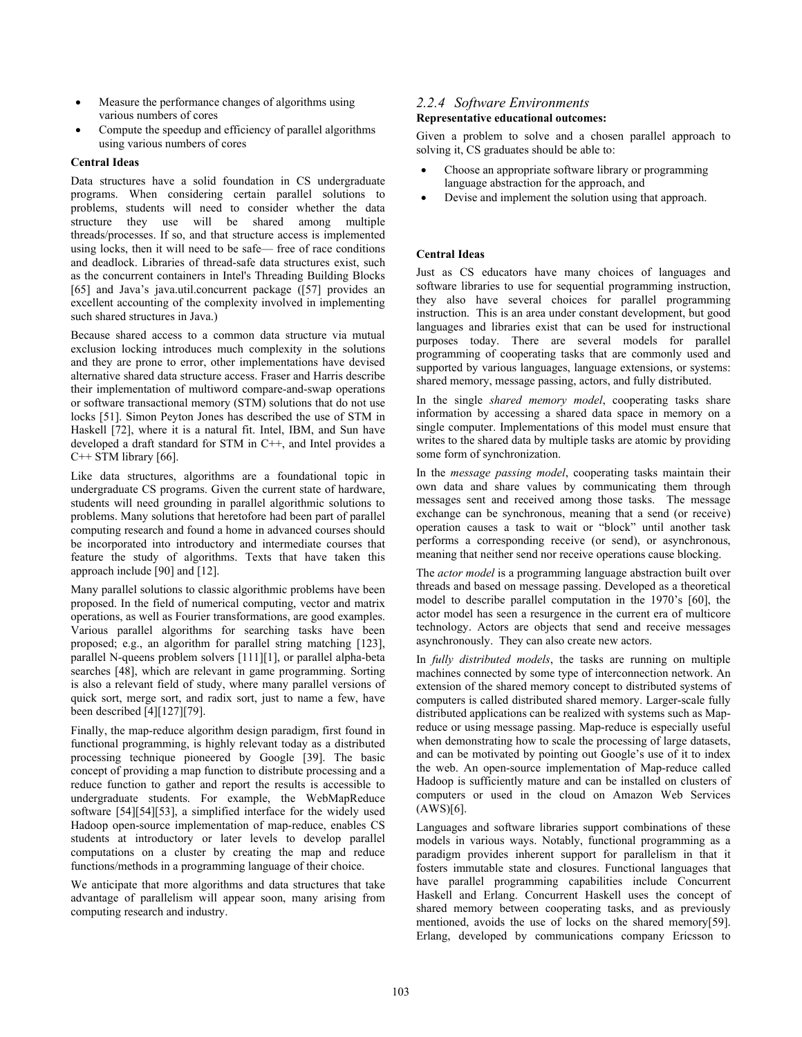- Measure the performance changes of algorithms using various numbers of cores
- Compute the speedup and efficiency of parallel algorithms using various numbers of cores

#### **Central Ideas**

Data structures have a solid foundation in CS undergraduate programs. When considering certain parallel solutions to problems, students will need to consider whether the data structure they use will be shared among multiple threads/processes. If so, and that structure access is implemented using locks, then it will need to be safe— free of race conditions and deadlock. Libraries of thread-safe data structures exist, such as the concurrent containers in Intel's Threading Building Blocks [65] and Java's java.util.concurrent package ([57] provides an excellent accounting of the complexity involved in implementing such shared structures in Java.)

Because shared access to a common data structure via mutual exclusion locking introduces much complexity in the solutions and they are prone to error, other implementations have devised alternative shared data structure access. Fraser and Harris describe their implementation of multiword compare-and-swap operations or software transactional memory (STM) solutions that do not use locks [51]. Simon Peyton Jones has described the use of STM in Haskell [72], where it is a natural fit. Intel, IBM, and Sun have developed a draft standard for STM in C++, and Intel provides a  $C++$  STM library [66].

Like data structures, algorithms are a foundational topic in undergraduate CS programs. Given the current state of hardware, students will need grounding in parallel algorithmic solutions to problems. Many solutions that heretofore had been part of parallel computing research and found a home in advanced courses should be incorporated into introductory and intermediate courses that feature the study of algorithms. Texts that have taken this approach include [90] and [12].

Many parallel solutions to classic algorithmic problems have been proposed. In the field of numerical computing, vector and matrix operations, as well as Fourier transformations, are good examples. Various parallel algorithms for searching tasks have been proposed; e.g., an algorithm for parallel string matching [123], parallel N-queens problem solvers [111][1], or parallel alpha-beta searches [48], which are relevant in game programming. Sorting is also a relevant field of study, where many parallel versions of quick sort, merge sort, and radix sort, just to name a few, have been described [4][127][79].

Finally, the map-reduce algorithm design paradigm, first found in functional programming, is highly relevant today as a distributed processing technique pioneered by Google [39]. The basic concept of providing a map function to distribute processing and a reduce function to gather and report the results is accessible to undergraduate students. For example, the WebMapReduce software [54][54][53], a simplified interface for the widely used Hadoop open-source implementation of map-reduce, enables CS students at introductory or later levels to develop parallel computations on a cluster by creating the map and reduce functions/methods in a programming language of their choice.

We anticipate that more algorithms and data structures that take advantage of parallelism will appear soon, many arising from computing research and industry.

#### *2.2.4 Software Environments*  **Representative educational outcomes:**

Given a problem to solve and a chosen parallel approach to solving it, CS graduates should be able to:

- Choose an appropriate software library or programming language abstraction for the approach, and
- Devise and implement the solution using that approach.

#### **Central Ideas**

Just as CS educators have many choices of languages and software libraries to use for sequential programming instruction, they also have several choices for parallel programming instruction. This is an area under constant development, but good languages and libraries exist that can be used for instructional purposes today. There are several models for parallel programming of cooperating tasks that are commonly used and supported by various languages, language extensions, or systems: shared memory, message passing, actors, and fully distributed.

In the single *shared memory model*, cooperating tasks share information by accessing a shared data space in memory on a single computer. Implementations of this model must ensure that writes to the shared data by multiple tasks are atomic by providing some form of synchronization.

In the *message passing model*, cooperating tasks maintain their own data and share values by communicating them through messages sent and received among those tasks. The message exchange can be synchronous, meaning that a send (or receive) operation causes a task to wait or "block" until another task performs a corresponding receive (or send), or asynchronous, meaning that neither send nor receive operations cause blocking.

The *actor model* is a programming language abstraction built over threads and based on message passing. Developed as a theoretical model to describe parallel computation in the 1970's [60], the actor model has seen a resurgence in the current era of multicore technology. Actors are objects that send and receive messages asynchronously. They can also create new actors.

In *fully distributed models*, the tasks are running on multiple machines connected by some type of interconnection network. An extension of the shared memory concept to distributed systems of computers is called distributed shared memory. Larger-scale fully distributed applications can be realized with systems such as Mapreduce or using message passing. Map-reduce is especially useful when demonstrating how to scale the processing of large datasets, and can be motivated by pointing out Google's use of it to index the web. An open-source implementation of Map-reduce called Hadoop is sufficiently mature and can be installed on clusters of computers or used in the cloud on Amazon Web Services (AWS)[6].

Languages and software libraries support combinations of these models in various ways. Notably, functional programming as a paradigm provides inherent support for parallelism in that it fosters immutable state and closures. Functional languages that have parallel programming capabilities include Concurrent Haskell and Erlang. Concurrent Haskell uses the concept of shared memory between cooperating tasks, and as previously mentioned, avoids the use of locks on the shared memory[59]. Erlang, developed by communications company Ericsson to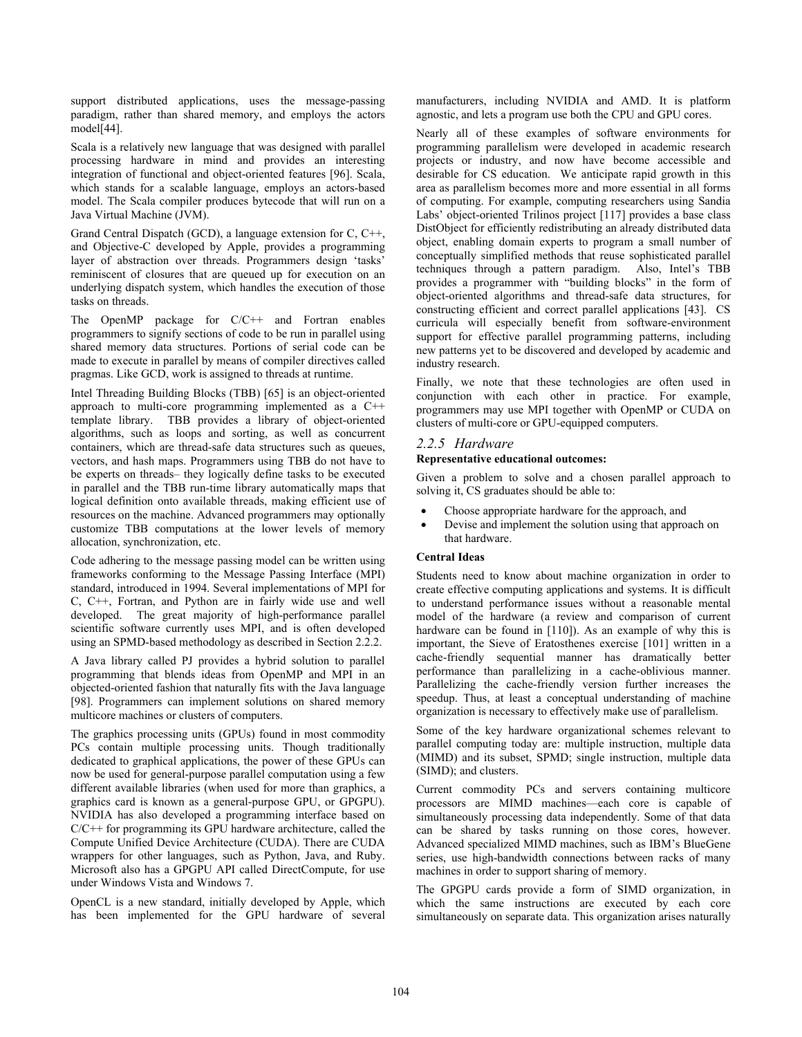support distributed applications, uses the message-passing paradigm, rather than shared memory, and employs the actors model[44].

Scala is a relatively new language that was designed with parallel processing hardware in mind and provides an interesting integration of functional and object-oriented features [96]. Scala, which stands for a scalable language, employs an actors-based model. The Scala compiler produces bytecode that will run on a Java Virtual Machine (JVM).

Grand Central Dispatch (GCD), a language extension for C, C++, and Objective-C developed by Apple, provides a programming layer of abstraction over threads. Programmers design 'tasks' reminiscent of closures that are queued up for execution on an underlying dispatch system, which handles the execution of those tasks on threads.

The OpenMP package for C/C++ and Fortran enables programmers to signify sections of code to be run in parallel using shared memory data structures. Portions of serial code can be made to execute in parallel by means of compiler directives called pragmas. Like GCD, work is assigned to threads at runtime.

Intel Threading Building Blocks (TBB) [65] is an object-oriented approach to multi-core programming implemented as a C++ template library. TBB provides a library of object-oriented algorithms, such as loops and sorting, as well as concurrent containers, which are thread-safe data structures such as queues, vectors, and hash maps. Programmers using TBB do not have to be experts on threads– they logically define tasks to be executed in parallel and the TBB run-time library automatically maps that logical definition onto available threads, making efficient use of resources on the machine. Advanced programmers may optionally customize TBB computations at the lower levels of memory allocation, synchronization, etc.

Code adhering to the message passing model can be written using frameworks conforming to the Message Passing Interface (MPI) standard, introduced in 1994. Several implementations of MPI for C, C++, Fortran, and Python are in fairly wide use and well developed. The great majority of high-performance parallel scientific software currently uses MPI, and is often developed using an SPMD-based methodology as described in Section 2.2.2.

A Java library called PJ provides a hybrid solution to parallel programming that blends ideas from OpenMP and MPI in an objected-oriented fashion that naturally fits with the Java language [98]. Programmers can implement solutions on shared memory multicore machines or clusters of computers.

The graphics processing units (GPUs) found in most commodity PCs contain multiple processing units. Though traditionally dedicated to graphical applications, the power of these GPUs can now be used for general-purpose parallel computation using a few different available libraries (when used for more than graphics, a graphics card is known as a general-purpose GPU, or GPGPU). NVIDIA has also developed a programming interface based on C/C++ for programming its GPU hardware architecture, called the Compute Unified Device Architecture (CUDA). There are CUDA wrappers for other languages, such as Python, Java, and Ruby. Microsoft also has a GPGPU API called DirectCompute, for use under Windows Vista and Windows 7.

OpenCL is a new standard, initially developed by Apple, which has been implemented for the GPU hardware of several

manufacturers, including NVIDIA and AMD. It is platform agnostic, and lets a program use both the CPU and GPU cores.

Nearly all of these examples of software environments for programming parallelism were developed in academic research projects or industry, and now have become accessible and desirable for CS education. We anticipate rapid growth in this area as parallelism becomes more and more essential in all forms of computing. For example, computing researchers using Sandia Labs' object-oriented Trilinos project [117] provides a base class DistObject for efficiently redistributing an already distributed data object, enabling domain experts to program a small number of conceptually simplified methods that reuse sophisticated parallel techniques through a pattern paradigm. Also, Intel's TBB provides a programmer with "building blocks" in the form of object-oriented algorithms and thread-safe data structures, for constructing efficient and correct parallel applications [43]. CS curricula will especially benefit from software-environment support for effective parallel programming patterns, including new patterns yet to be discovered and developed by academic and industry research.

Finally, we note that these technologies are often used in conjunction with each other in practice. For example, programmers may use MPI together with OpenMP or CUDA on clusters of multi-core or GPU-equipped computers.

# *2.2.5 Hardware*

## **Representative educational outcomes:**

Given a problem to solve and a chosen parallel approach to solving it, CS graduates should be able to:

- Choose appropriate hardware for the approach, and
- Devise and implement the solution using that approach on that hardware.

#### **Central Ideas**

Students need to know about machine organization in order to create effective computing applications and systems. It is difficult to understand performance issues without a reasonable mental model of the hardware (a review and comparison of current hardware can be found in [110]). As an example of why this is important, the Sieve of Eratosthenes exercise [101] written in a cache-friendly sequential manner has dramatically better performance than parallelizing in a cache-oblivious manner. Parallelizing the cache-friendly version further increases the speedup. Thus, at least a conceptual understanding of machine organization is necessary to effectively make use of parallelism.

Some of the key hardware organizational schemes relevant to parallel computing today are: multiple instruction, multiple data (MIMD) and its subset, SPMD; single instruction, multiple data (SIMD); and clusters.

Current commodity PCs and servers containing multicore processors are MIMD machines—each core is capable of simultaneously processing data independently. Some of that data can be shared by tasks running on those cores, however. Advanced specialized MIMD machines, such as IBM's BlueGene series, use high-bandwidth connections between racks of many machines in order to support sharing of memory.

The GPGPU cards provide a form of SIMD organization, in which the same instructions are executed by each core simultaneously on separate data. This organization arises naturally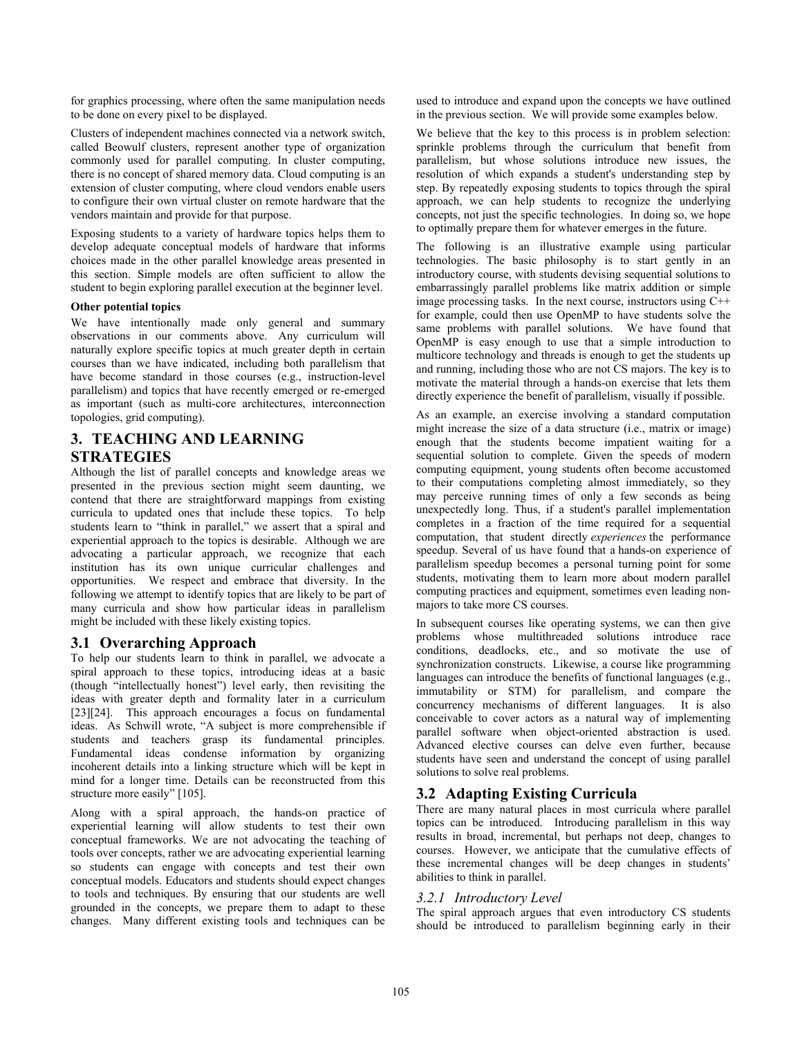for graphics processing, where often the same manipulation needs to be done on every pixel to be displayed.

Clusters of independent machines connected via a network switch, called Beowulf clusters, represent another type of organization commonly used for parallel computing. In cluster computing, there is no concept of shared memory data. Cloud computing is an extension of cluster computing, where cloud vendors enable users to configure their own virtual cluster on remote hardware that the vendors maintain and provide for that purpose.

Exposing students to a variety of hardware topics helps them to develop adequate conceptual models of hardware that informs choices made in the other parallel knowledge areas presented in this section. Simple models are often sufficient to allow the student to begin exploring parallel execution at the beginner level.

#### **Other potential topics**

We have intentionally made only general and summary observations in our comments above. Any curriculum will naturally explore specific topics at much greater depth in certain courses than we have indicated, including both parallelism that have become standard in those courses (e.g., instruction-level parallelism) and topics that have recently emerged or re-emerged as important (such as multi-core architectures, interconnection topologies, grid computing).

# **3. TEACHING AND LEARNING STRATEGIES**

Although the list of parallel concepts and knowledge areas we presented in the previous section might seem daunting, we contend that there are straightforward mappings from existing curricula to updated ones that include these topics. To help students learn to "think in parallel," we assert that a spiral and experiential approach to the topics is desirable. Although we are advocating a particular approach, we recognize that each institution has its own unique curricular challenges and opportunities. We respect and embrace that diversity. In the following we attempt to identify topics that are likely to be part of many curricula and show how particular ideas in parallelism might be included with these likely existing topics.

## **3.1 Overarching Approach**

To help our students learn to think in parallel, we advocate a spiral approach to these topics, introducing ideas at a basic (though "intellectually honest") level early, then revisiting the ideas with greater depth and formality later in a curriculum [23][24]. This approach encourages a focus on fundamental ideas. As Schwill wrote, "A subject is more comprehensible if students and teachers grasp its fundamental principles. Fundamental ideas condense information by organizing incoherent details into a linking structure which will be kept in mind for a longer time. Details can be reconstructed from this structure more easily" [105].

Along with a spiral approach, the hands-on practice of experiential learning will allow students to test their own conceptual frameworks. We are not advocating the teaching of tools over concepts, rather we are advocating experiential learning so students can engage with concepts and test their own conceptual models. Educators and students should expect changes to tools and techniques. By ensuring that our students are well grounded in the concepts, we prepare them to adapt to these changes. Many different existing tools and techniques can be used to introduce and expand upon the concepts we have outlined in the previous section. We will provide some examples below.

We believe that the key to this process is in problem selection: sprinkle problems through the curriculum that benefit from parallelism, but whose solutions introduce new issues, the resolution of which expands a student's understanding step by step. By repeatedly exposing students to topics through the spiral approach, we can help students to recognize the underlying concepts, not just the specific technologies. In doing so, we hope to optimally prepare them for whatever emerges in the future.

The following is an illustrative example using particular technologies. The basic philosophy is to start gently in an introductory course, with students devising sequential solutions to embarrassingly parallel problems like matrix addition or simple image processing tasks. In the next course, instructors using  $C++$ for example, could then use OpenMP to have students solve the same problems with parallel solutions. We have found that OpenMP is easy enough to use that a simple introduction to multicore technology and threads is enough to get the students up and running, including those who are not CS majors. The key is to motivate the material through a hands-on exercise that lets them directly experience the benefit of parallelism, visually if possible.

As an example, an exercise involving a standard computation might increase the size of a data structure (i.e., matrix or image) enough that the students become impatient waiting for a sequential solution to complete. Given the speeds of modern computing equipment, young students often become accustomed to their computations completing almost immediately, so they may perceive running times of only a few seconds as being unexpectedly long. Thus, if a student's parallel implementation completes in a fraction of the time required for a sequential computation, that student directly *experiences* the performance speedup. Several of us have found that a hands-on experience of parallelism speedup becomes a personal turning point for some students, motivating them to learn more about modern parallel computing practices and equipment, sometimes even leading nonmajors to take more CS courses.

In subsequent courses like operating systems, we can then give problems whose multithreaded solutions introduce race conditions, deadlocks, etc., and so motivate the use of synchronization constructs. Likewise, a course like programming languages can introduce the benefits of functional languages (e.g., immutability or STM) for parallelism, and compare the concurrency mechanisms of different languages. It is also conceivable to cover actors as a natural way of implementing parallel software when object-oriented abstraction is used. Advanced elective courses can delve even further, because students have seen and understand the concept of using parallel solutions to solve real problems.

# **3.2 Adapting Existing Curricula**

There are many natural places in most curricula where parallel topics can be introduced. Introducing parallelism in this way results in broad, incremental, but perhaps not deep, changes to courses. However, we anticipate that the cumulative effects of these incremental changes will be deep changes in students' abilities to think in parallel.

#### *3.2.1 Introductory Level*

The spiral approach argues that even introductory CS students should be introduced to parallelism beginning early in their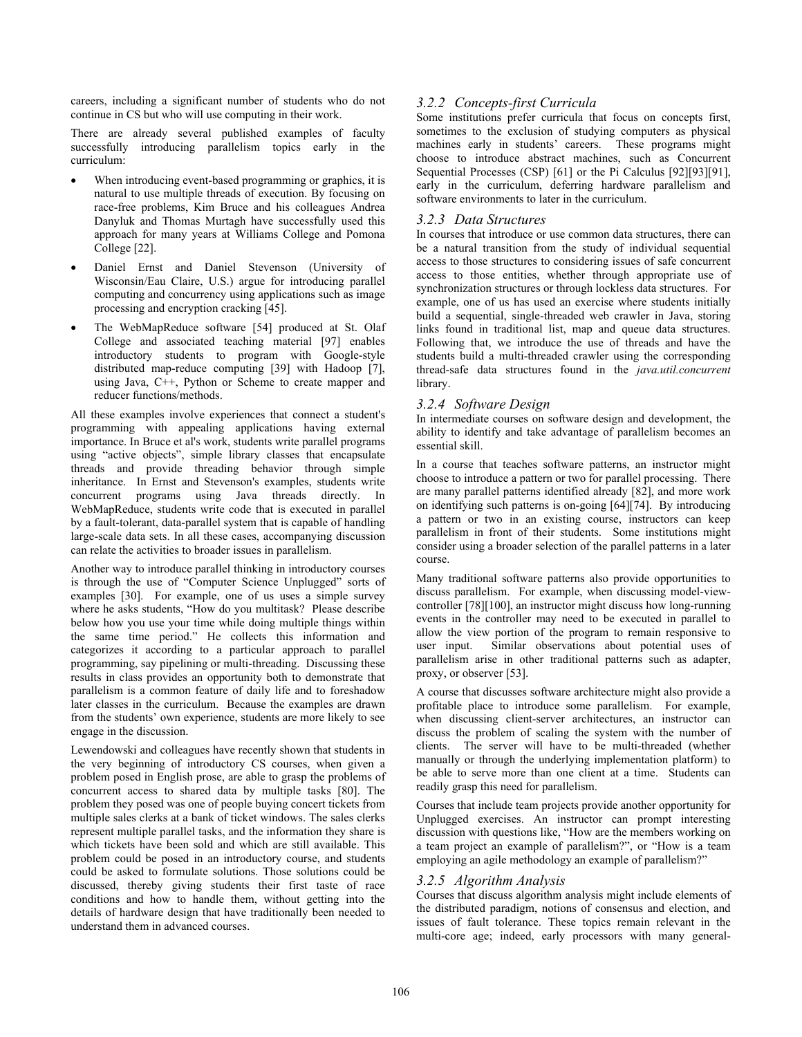careers, including a significant number of students who do not continue in CS but who will use computing in their work.

There are already several published examples of faculty successfully introducing parallelism topics early in the curriculum:

- When introducing event-based programming or graphics, it is natural to use multiple threads of execution. By focusing on race-free problems, Kim Bruce and his colleagues Andrea Danyluk and Thomas Murtagh have successfully used this approach for many years at Williams College and Pomona College [22].
- Daniel Ernst and Daniel Stevenson (University of Wisconsin/Eau Claire, U.S.) argue for introducing parallel computing and concurrency using applications such as image processing and encryption cracking [45].
- The WebMapReduce software [54] produced at St. Olaf College and associated teaching material [97] enables introductory students to program with Google-style distributed map-reduce computing [39] with Hadoop [7], using Java, C++, Python or Scheme to create mapper and reducer functions/methods.

All these examples involve experiences that connect a student's programming with appealing applications having external importance. In Bruce et al's work, students write parallel programs using "active objects", simple library classes that encapsulate threads and provide threading behavior through simple inheritance. In Ernst and Stevenson's examples, students write concurrent programs using Java threads directly. In WebMapReduce, students write code that is executed in parallel by a fault-tolerant, data-parallel system that is capable of handling large-scale data sets. In all these cases, accompanying discussion can relate the activities to broader issues in parallelism.

Another way to introduce parallel thinking in introductory courses is through the use of "Computer Science Unplugged" sorts of examples [30]. For example, one of us uses a simple survey where he asks students, "How do you multitask? Please describe below how you use your time while doing multiple things within the same time period." He collects this information and categorizes it according to a particular approach to parallel programming, say pipelining or multi-threading. Discussing these results in class provides an opportunity both to demonstrate that parallelism is a common feature of daily life and to foreshadow later classes in the curriculum. Because the examples are drawn from the students' own experience, students are more likely to see engage in the discussion.

Lewendowski and colleagues have recently shown that students in the very beginning of introductory CS courses, when given a problem posed in English prose, are able to grasp the problems of concurrent access to shared data by multiple tasks [80]. The problem they posed was one of people buying concert tickets from multiple sales clerks at a bank of ticket windows. The sales clerks represent multiple parallel tasks, and the information they share is which tickets have been sold and which are still available. This problem could be posed in an introductory course, and students could be asked to formulate solutions. Those solutions could be discussed, thereby giving students their first taste of race conditions and how to handle them, without getting into the details of hardware design that have traditionally been needed to understand them in advanced courses.

## *3.2.2 Concepts-first Curricula*

Some institutions prefer curricula that focus on concepts first, sometimes to the exclusion of studying computers as physical machines early in students' careers. These programs might choose to introduce abstract machines, such as Concurrent Sequential Processes (CSP) [61] or the Pi Calculus [92][93][91], early in the curriculum, deferring hardware parallelism and software environments to later in the curriculum.

### *3.2.3 Data Structures*

In courses that introduce or use common data structures, there can be a natural transition from the study of individual sequential access to those structures to considering issues of safe concurrent access to those entities, whether through appropriate use of synchronization structures or through lockless data structures. For example, one of us has used an exercise where students initially build a sequential, single-threaded web crawler in Java, storing links found in traditional list, map and queue data structures. Following that, we introduce the use of threads and have the students build a multi-threaded crawler using the corresponding thread-safe data structures found in the *java.util.concurrent*  library.

## *3.2.4 Software Design*

In intermediate courses on software design and development, the ability to identify and take advantage of parallelism becomes an essential skill.

In a course that teaches software patterns, an instructor might choose to introduce a pattern or two for parallel processing. There are many parallel patterns identified already [82], and more work on identifying such patterns is on-going [64][74]. By introducing a pattern or two in an existing course, instructors can keep parallelism in front of their students. Some institutions might consider using a broader selection of the parallel patterns in a later course.

Many traditional software patterns also provide opportunities to discuss parallelism. For example, when discussing model-viewcontroller [78][100], an instructor might discuss how long-running events in the controller may need to be executed in parallel to allow the view portion of the program to remain responsive to user input. Similar observations about potential uses of parallelism arise in other traditional patterns such as adapter, proxy, or observer [53].

A course that discusses software architecture might also provide a profitable place to introduce some parallelism. For example, when discussing client-server architectures, an instructor can discuss the problem of scaling the system with the number of clients. The server will have to be multi-threaded (whether manually or through the underlying implementation platform) to be able to serve more than one client at a time. Students can readily grasp this need for parallelism.

Courses that include team projects provide another opportunity for Unplugged exercises. An instructor can prompt interesting discussion with questions like, "How are the members working on a team project an example of parallelism?", or "How is a team employing an agile methodology an example of parallelism?"

## *3.2.5 Algorithm Analysis*

Courses that discuss algorithm analysis might include elements of the distributed paradigm, notions of consensus and election, and issues of fault tolerance. These topics remain relevant in the multi-core age; indeed, early processors with many general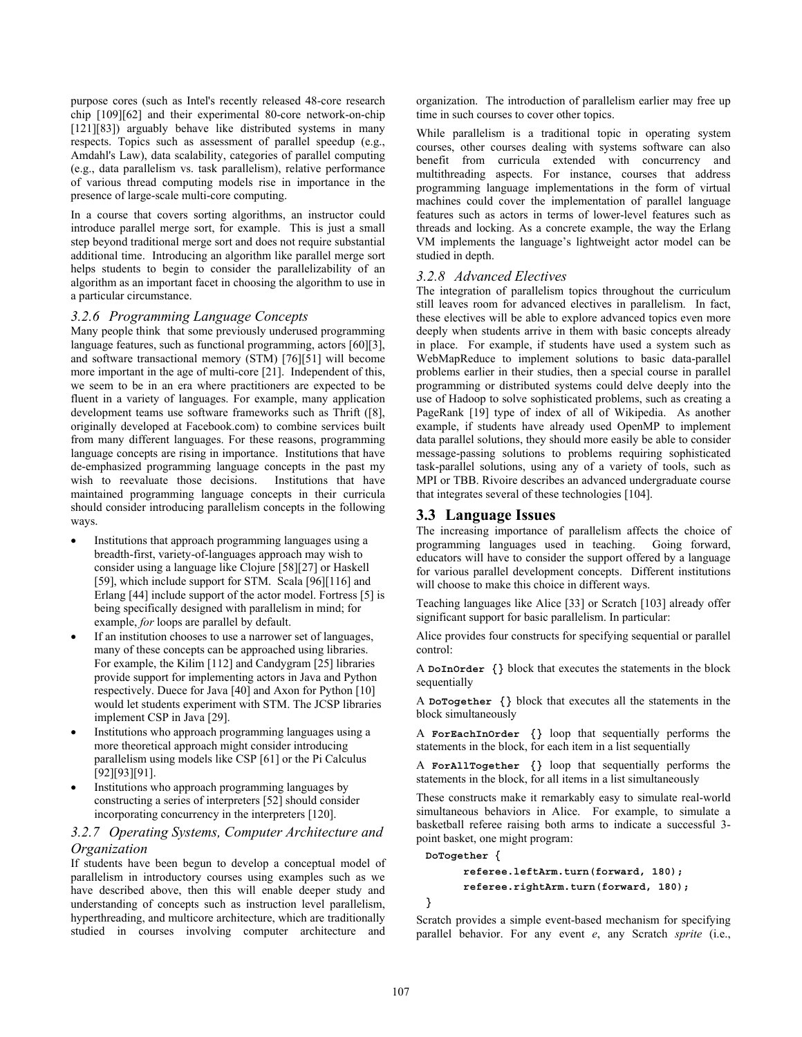purpose cores (such as Intel's recently released 48-core research chip [109][62] and their experimental 80-core network-on-chip [121][83]) arguably behave like distributed systems in many respects. Topics such as assessment of parallel speedup (e.g., Amdahl's Law), data scalability, categories of parallel computing (e.g., data parallelism vs. task parallelism), relative performance of various thread computing models rise in importance in the presence of large-scale multi-core computing.

In a course that covers sorting algorithms, an instructor could introduce parallel merge sort, for example. This is just a small step beyond traditional merge sort and does not require substantial additional time. Introducing an algorithm like parallel merge sort helps students to begin to consider the parallelizability of an algorithm as an important facet in choosing the algorithm to use in a particular circumstance.

#### *3.2.6 Programming Language Concepts*

Many people think that some previously underused programming language features, such as functional programming, actors [60][3], and software transactional memory (STM) [76][51] will become more important in the age of multi-core [21]. Independent of this, we seem to be in an era where practitioners are expected to be fluent in a variety of languages. For example, many application development teams use software frameworks such as Thrift ([8], originally developed at Facebook.com) to combine services built from many different languages. For these reasons, programming language concepts are rising in importance. Institutions that have de-emphasized programming language concepts in the past my wish to reevaluate those decisions. Institutions that have maintained programming language concepts in their curricula should consider introducing parallelism concepts in the following ways.

- Institutions that approach programming languages using a breadth-first, variety-of-languages approach may wish to consider using a language like Clojure [58][27] or Haskell [59], which include support for STM. Scala [96][116] and Erlang [44] include support of the actor model. Fortress [5] is being specifically designed with parallelism in mind; for example, *for* loops are parallel by default.
- If an institution chooses to use a narrower set of languages, many of these concepts can be approached using libraries. For example, the Kilim [112] and Candygram [25] libraries provide support for implementing actors in Java and Python respectively. Duece for Java [40] and Axon for Python [10] would let students experiment with STM. The JCSP libraries implement CSP in Java [29].
- Institutions who approach programming languages using a more theoretical approach might consider introducing parallelism using models like CSP [61] or the Pi Calculus [92][93][91].
- Institutions who approach programming languages by constructing a series of interpreters [52] should consider incorporating concurrency in the interpreters [120].

### *3.2.7 Operating Systems, Computer Architecture and Organization*

If students have been begun to develop a conceptual model of parallelism in introductory courses using examples such as we have described above, then this will enable deeper study and understanding of concepts such as instruction level parallelism, hyperthreading, and multicore architecture, which are traditionally studied in courses involving computer architecture and

organization. The introduction of parallelism earlier may free up time in such courses to cover other topics.

While parallelism is a traditional topic in operating system courses, other courses dealing with systems software can also benefit from curricula extended with concurrency and multithreading aspects. For instance, courses that address programming language implementations in the form of virtual machines could cover the implementation of parallel language features such as actors in terms of lower-level features such as threads and locking. As a concrete example, the way the Erlang VM implements the language's lightweight actor model can be studied in depth.

# *3.2.8 Advanced Electives*

The integration of parallelism topics throughout the curriculum still leaves room for advanced electives in parallelism. In fact, these electives will be able to explore advanced topics even more deeply when students arrive in them with basic concepts already in place. For example, if students have used a system such as WebMapReduce to implement solutions to basic data-parallel problems earlier in their studies, then a special course in parallel programming or distributed systems could delve deeply into the use of Hadoop to solve sophisticated problems, such as creating a PageRank [19] type of index of all of Wikipedia. As another example, if students have already used OpenMP to implement data parallel solutions, they should more easily be able to consider message-passing solutions to problems requiring sophisticated task-parallel solutions, using any of a variety of tools, such as MPI or TBB. Rivoire describes an advanced undergraduate course that integrates several of these technologies [104].

# **3.3 Language Issues**

The increasing importance of parallelism affects the choice of programming languages used in teaching. Going forward, educators will have to consider the support offered by a language for various parallel development concepts. Different institutions will choose to make this choice in different ways.

Teaching languages like Alice [33] or Scratch [103] already offer significant support for basic parallelism. In particular:

Alice provides four constructs for specifying sequential or parallel control:

A **DoInOrder {}** block that executes the statements in the block sequentially

A **DoTogether {}** block that executes all the statements in the block simultaneously

A **ForEachInOrder {}** loop that sequentially performs the statements in the block, for each item in a list sequentially

A **ForAllTogether {}** loop that sequentially performs the statements in the block, for all items in a list simultaneously

These constructs make it remarkably easy to simulate real-world simultaneous behaviors in Alice. For example, to simulate a basketball referee raising both arms to indicate a successful 3 point basket, one might program:

```
DoTogether {
```
**}** 

```
 referee.leftArm.turn(forward, 180); 
 referee.rightArm.turn(forward, 180);
```
Scratch provides a simple event-based mechanism for specifying parallel behavior. For any event *e*, any Scratch *sprite* (i.e.,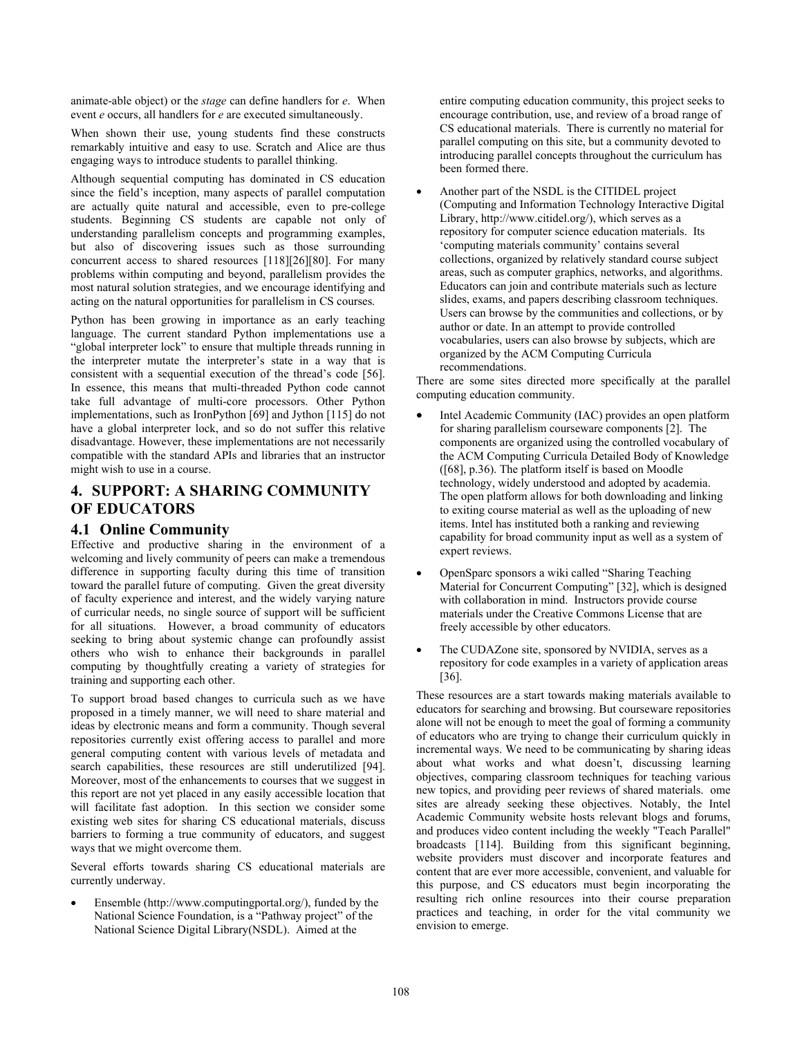animate-able object) or the *stage* can define handlers for *e*. When event *e* occurs, all handlers for *e* are executed simultaneously.

When shown their use, young students find these constructs remarkably intuitive and easy to use. Scratch and Alice are thus engaging ways to introduce students to parallel thinking.

Although sequential computing has dominated in CS education since the field's inception, many aspects of parallel computation are actually quite natural and accessible, even to pre-college students. Beginning CS students are capable not only of understanding parallelism concepts and programming examples, but also of discovering issues such as those surrounding concurrent access to shared resources [118][26][80]. For many problems within computing and beyond, parallelism provides the most natural solution strategies, and we encourage identifying and acting on the natural opportunities for parallelism in CS courses.

Python has been growing in importance as an early teaching language. The current standard Python implementations use a "global interpreter lock" to ensure that multiple threads running in the interpreter mutate the interpreter's state in a way that is consistent with a sequential execution of the thread's code [56]. In essence, this means that multi-threaded Python code cannot take full advantage of multi-core processors. Other Python implementations, such as IronPython [69] and Jython [115] do not have a global interpreter lock, and so do not suffer this relative disadvantage. However, these implementations are not necessarily compatible with the standard APIs and libraries that an instructor might wish to use in a course.

# **4. SUPPORT: A SHARING COMMUNITY OF EDUCATORS**

# **4.1 Online Community**

Effective and productive sharing in the environment of a welcoming and lively community of peers can make a tremendous difference in supporting faculty during this time of transition toward the parallel future of computing. Given the great diversity of faculty experience and interest, and the widely varying nature of curricular needs, no single source of support will be sufficient for all situations. However, a broad community of educators seeking to bring about systemic change can profoundly assist others who wish to enhance their backgrounds in parallel computing by thoughtfully creating a variety of strategies for training and supporting each other.

To support broad based changes to curricula such as we have proposed in a timely manner, we will need to share material and ideas by electronic means and form a community. Though several repositories currently exist offering access to parallel and more general computing content with various levels of metadata and search capabilities, these resources are still underutilized [94]. Moreover, most of the enhancements to courses that we suggest in this report are not yet placed in any easily accessible location that will facilitate fast adoption. In this section we consider some existing web sites for sharing CS educational materials, discuss barriers to forming a true community of educators, and suggest ways that we might overcome them.

Several efforts towards sharing CS educational materials are currently underway.

 Ensemble (http://www.computingportal.org/), funded by the National Science Foundation, is a "Pathway project" of the National Science Digital Library(NSDL). Aimed at the

entire computing education community, this project seeks to encourage contribution, use, and review of a broad range of CS educational materials. There is currently no material for parallel computing on this site, but a community devoted to introducing parallel concepts throughout the curriculum has been formed there.

 Another part of the NSDL is the CITIDEL project (Computing and Information Technology Interactive Digital Library, http://www.citidel.org/), which serves as a repository for computer science education materials. Its 'computing materials community' contains several collections, organized by relatively standard course subject areas, such as computer graphics, networks, and algorithms. Educators can join and contribute materials such as lecture slides, exams, and papers describing classroom techniques. Users can browse by the communities and collections, or by author or date. In an attempt to provide controlled vocabularies, users can also browse by subjects, which are organized by the ACM Computing Curricula recommendations.

There are some sites directed more specifically at the parallel computing education community.

- Intel Academic Community (IAC) provides an open platform for sharing parallelism courseware components [2]. The components are organized using the controlled vocabulary of the ACM Computing Curricula Detailed Body of Knowledge ([68], p.36). The platform itself is based on Moodle technology, widely understood and adopted by academia. The open platform allows for both downloading and linking to exiting course material as well as the uploading of new items. Intel has instituted both a ranking and reviewing capability for broad community input as well as a system of expert reviews.
- OpenSparc sponsors a wiki called "Sharing Teaching Material for Concurrent Computing" [32], which is designed with collaboration in mind. Instructors provide course materials under the Creative Commons License that are freely accessible by other educators.
- The CUDAZone site, sponsored by NVIDIA, serves as a repository for code examples in a variety of application areas [36].

These resources are a start towards making materials available to educators for searching and browsing. But courseware repositories alone will not be enough to meet the goal of forming a community of educators who are trying to change their curriculum quickly in incremental ways. We need to be communicating by sharing ideas about what works and what doesn't, discussing learning objectives, comparing classroom techniques for teaching various new topics, and providing peer reviews of shared materials. ome sites are already seeking these objectives. Notably, the Intel Academic Community website hosts relevant blogs and forums, and produces video content including the weekly "Teach Parallel" broadcasts [114]. Building from this significant beginning, website providers must discover and incorporate features and content that are ever more accessible, convenient, and valuable for this purpose, and CS educators must begin incorporating the resulting rich online resources into their course preparation practices and teaching, in order for the vital community we envision to emerge.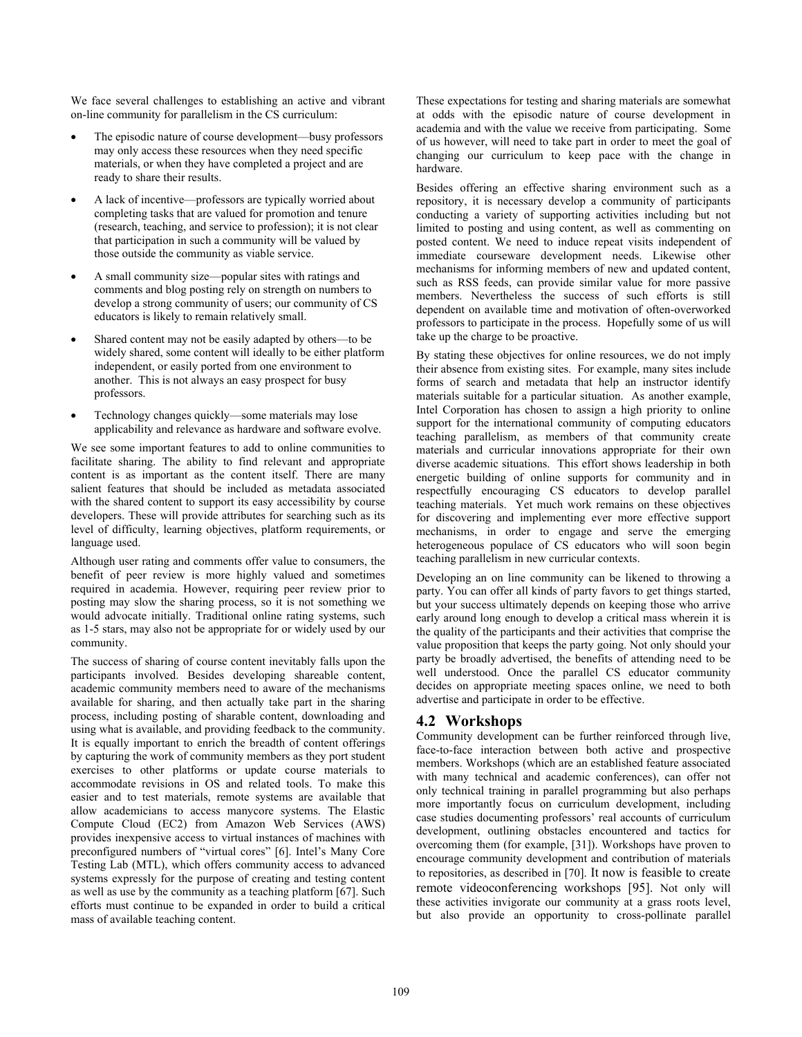We face several challenges to establishing an active and vibrant on-line community for parallelism in the CS curriculum:

- The episodic nature of course development—busy professors may only access these resources when they need specific materials, or when they have completed a project and are ready to share their results.
- A lack of incentive—professors are typically worried about completing tasks that are valued for promotion and tenure (research, teaching, and service to profession); it is not clear that participation in such a community will be valued by those outside the community as viable service.
- A small community size—popular sites with ratings and comments and blog posting rely on strength on numbers to develop a strong community of users; our community of CS educators is likely to remain relatively small.
- Shared content may not be easily adapted by others—to be widely shared, some content will ideally to be either platform independent, or easily ported from one environment to another. This is not always an easy prospect for busy professors.
- Technology changes quickly—some materials may lose applicability and relevance as hardware and software evolve.

We see some important features to add to online communities to facilitate sharing. The ability to find relevant and appropriate content is as important as the content itself. There are many salient features that should be included as metadata associated with the shared content to support its easy accessibility by course developers. These will provide attributes for searching such as its level of difficulty, learning objectives, platform requirements, or language used.

Although user rating and comments offer value to consumers, the benefit of peer review is more highly valued and sometimes required in academia. However, requiring peer review prior to posting may slow the sharing process, so it is not something we would advocate initially. Traditional online rating systems, such as 1-5 stars, may also not be appropriate for or widely used by our community.

The success of sharing of course content inevitably falls upon the participants involved. Besides developing shareable content, academic community members need to aware of the mechanisms available for sharing, and then actually take part in the sharing process, including posting of sharable content, downloading and using what is available, and providing feedback to the community. It is equally important to enrich the breadth of content offerings by capturing the work of community members as they port student exercises to other platforms or update course materials to accommodate revisions in OS and related tools. To make this easier and to test materials, remote systems are available that allow academicians to access manycore systems. The Elastic Compute Cloud (EC2) from Amazon Web Services (AWS) provides inexpensive access to virtual instances of machines with preconfigured numbers of "virtual cores" [6]. Intel's Many Core Testing Lab (MTL), which offers community access to advanced systems expressly for the purpose of creating and testing content as well as use by the community as a teaching platform [67]. Such efforts must continue to be expanded in order to build a critical mass of available teaching content.

These expectations for testing and sharing materials are somewhat at odds with the episodic nature of course development in academia and with the value we receive from participating. Some of us however, will need to take part in order to meet the goal of changing our curriculum to keep pace with the change in hardware.

Besides offering an effective sharing environment such as a repository, it is necessary develop a community of participants conducting a variety of supporting activities including but not limited to posting and using content, as well as commenting on posted content. We need to induce repeat visits independent of immediate courseware development needs. Likewise other mechanisms for informing members of new and updated content, such as RSS feeds, can provide similar value for more passive members. Nevertheless the success of such efforts is still dependent on available time and motivation of often-overworked professors to participate in the process. Hopefully some of us will take up the charge to be proactive.

By stating these objectives for online resources, we do not imply their absence from existing sites. For example, many sites include forms of search and metadata that help an instructor identify materials suitable for a particular situation. As another example, Intel Corporation has chosen to assign a high priority to online support for the international community of computing educators teaching parallelism, as members of that community create materials and curricular innovations appropriate for their own diverse academic situations. This effort shows leadership in both energetic building of online supports for community and in respectfully encouraging CS educators to develop parallel teaching materials. Yet much work remains on these objectives for discovering and implementing ever more effective support mechanisms, in order to engage and serve the emerging heterogeneous populace of CS educators who will soon begin teaching parallelism in new curricular contexts.

Developing an on line community can be likened to throwing a party. You can offer all kinds of party favors to get things started, but your success ultimately depends on keeping those who arrive early around long enough to develop a critical mass wherein it is the quality of the participants and their activities that comprise the value proposition that keeps the party going. Not only should your party be broadly advertised, the benefits of attending need to be well understood. Once the parallel CS educator community decides on appropriate meeting spaces online, we need to both advertise and participate in order to be effective.

# **4.2 Workshops**

Community development can be further reinforced through live, face-to-face interaction between both active and prospective members. Workshops (which are an established feature associated with many technical and academic conferences), can offer not only technical training in parallel programming but also perhaps more importantly focus on curriculum development, including case studies documenting professors' real accounts of curriculum development, outlining obstacles encountered and tactics for overcoming them (for example, [31]). Workshops have proven to encourage community development and contribution of materials to repositories, as described in [70]. It now is feasible to create remote videoconferencing workshops [95]. Not only will these activities invigorate our community at a grass roots level, but also provide an opportunity to cross-pollinate parallel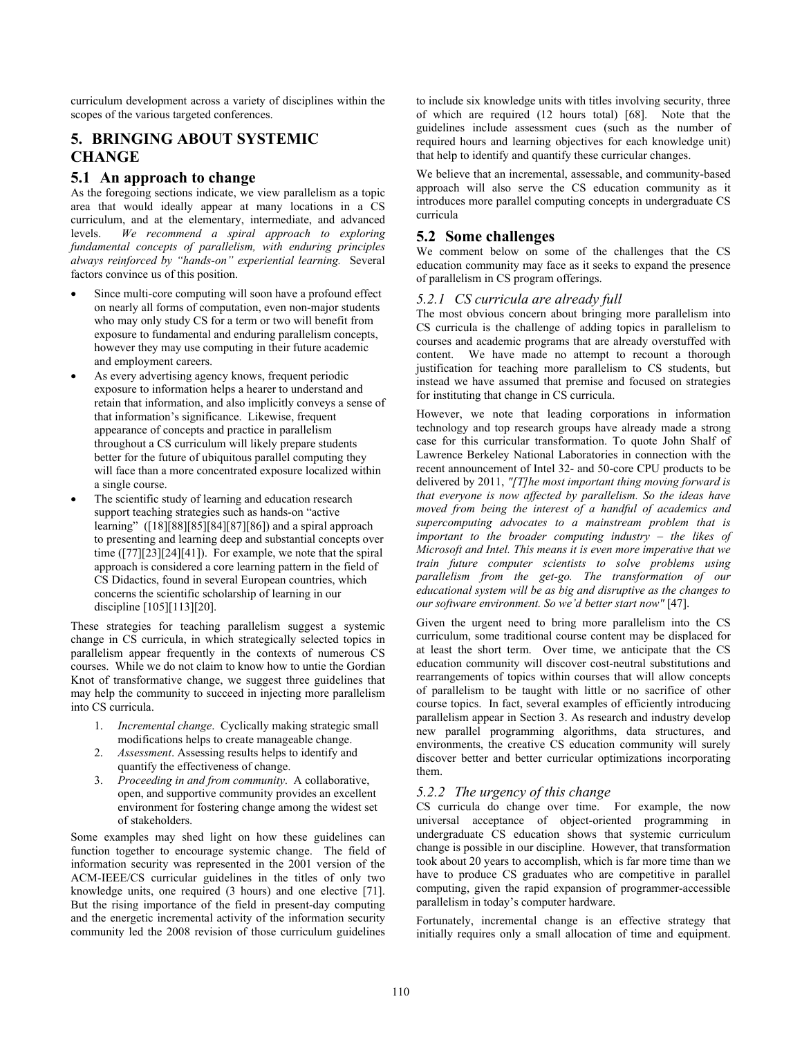curriculum development across a variety of disciplines within the scopes of the various targeted conferences.

# **5. BRINGING ABOUT SYSTEMIC CHANGE**

# **5.1 An approach to change**

As the foregoing sections indicate, we view parallelism as a topic area that would ideally appear at many locations in a CS curriculum, and at the elementary, intermediate, and advanced levels. *We recommend a spiral approach to exploring fundamental concepts of parallelism, with enduring principles always reinforced by "hands-on" experiential learning.* Several factors convince us of this position.

- Since multi-core computing will soon have a profound effect on nearly all forms of computation, even non-major students who may only study CS for a term or two will benefit from exposure to fundamental and enduring parallelism concepts, however they may use computing in their future academic and employment careers.
- As every advertising agency knows, frequent periodic exposure to information helps a hearer to understand and retain that information, and also implicitly conveys a sense of that information's significance. Likewise, frequent appearance of concepts and practice in parallelism throughout a CS curriculum will likely prepare students better for the future of ubiquitous parallel computing they will face than a more concentrated exposure localized within a single course.
- The scientific study of learning and education research support teaching strategies such as hands-on "active learning" ([18][88][85][84][87][86]) and a spiral approach to presenting and learning deep and substantial concepts over time ([77][23][24][41]). For example, we note that the spiral approach is considered a core learning pattern in the field of CS Didactics, found in several European countries, which concerns the scientific scholarship of learning in our discipline [105][113][20].

These strategies for teaching parallelism suggest a systemic change in CS curricula, in which strategically selected topics in parallelism appear frequently in the contexts of numerous CS courses. While we do not claim to know how to untie the Gordian Knot of transformative change, we suggest three guidelines that may help the community to succeed in injecting more parallelism into CS curricula.

- 1. *Incremental change*. Cyclically making strategic small modifications helps to create manageable change.
- Assessment. Assessing results helps to identify and quantify the effectiveness of change.
- 3. *Proceeding in and from community*. A collaborative, open, and supportive community provides an excellent environment for fostering change among the widest set of stakeholders.

Some examples may shed light on how these guidelines can function together to encourage systemic change. The field of information security was represented in the 2001 version of the ACM-IEEE/CS curricular guidelines in the titles of only two knowledge units, one required (3 hours) and one elective [71]. But the rising importance of the field in present-day computing and the energetic incremental activity of the information security community led the 2008 revision of those curriculum guidelines to include six knowledge units with titles involving security, three of which are required (12 hours total) [68]. Note that the guidelines include assessment cues (such as the number of required hours and learning objectives for each knowledge unit) that help to identify and quantify these curricular changes.

We believe that an incremental, assessable, and community-based approach will also serve the CS education community as it introduces more parallel computing concepts in undergraduate CS curricula

# **5.2 Some challenges**

We comment below on some of the challenges that the CS education community may face as it seeks to expand the presence of parallelism in CS program offerings.

### *5.2.1 CS curricula are already full*

The most obvious concern about bringing more parallelism into CS curricula is the challenge of adding topics in parallelism to courses and academic programs that are already overstuffed with content. We have made no attempt to recount a thorough justification for teaching more parallelism to CS students, but instead we have assumed that premise and focused on strategies for instituting that change in CS curricula.

However, we note that leading corporations in information technology and top research groups have already made a strong case for this curricular transformation. To quote John Shalf of Lawrence Berkeley National Laboratories in connection with the recent announcement of Intel 32- and 50-core CPU products to be delivered by 2011, *"[T]he most important thing moving forward is that everyone is now affected by parallelism. So the ideas have moved from being the interest of a handful of academics and supercomputing advocates to a mainstream problem that is important to the broader computing industry – the likes of Microsoft and Intel. This means it is even more imperative that we train future computer scientists to solve problems using parallelism from the get-go. The transformation of our educational system will be as big and disruptive as the changes to our software environment. So we'd better start now"* [47].

Given the urgent need to bring more parallelism into the CS curriculum, some traditional course content may be displaced for at least the short term. Over time, we anticipate that the CS education community will discover cost-neutral substitutions and rearrangements of topics within courses that will allow concepts of parallelism to be taught with little or no sacrifice of other course topics. In fact, several examples of efficiently introducing parallelism appear in Section 3. As research and industry develop new parallel programming algorithms, data structures, and environments, the creative CS education community will surely discover better and better curricular optimizations incorporating them.

## *5.2.2 The urgency of this change*

CS curricula do change over time. For example, the now universal acceptance of object-oriented programming in undergraduate CS education shows that systemic curriculum change is possible in our discipline. However, that transformation took about 20 years to accomplish, which is far more time than we have to produce CS graduates who are competitive in parallel computing, given the rapid expansion of programmer-accessible parallelism in today's computer hardware.

Fortunately, incremental change is an effective strategy that initially requires only a small allocation of time and equipment.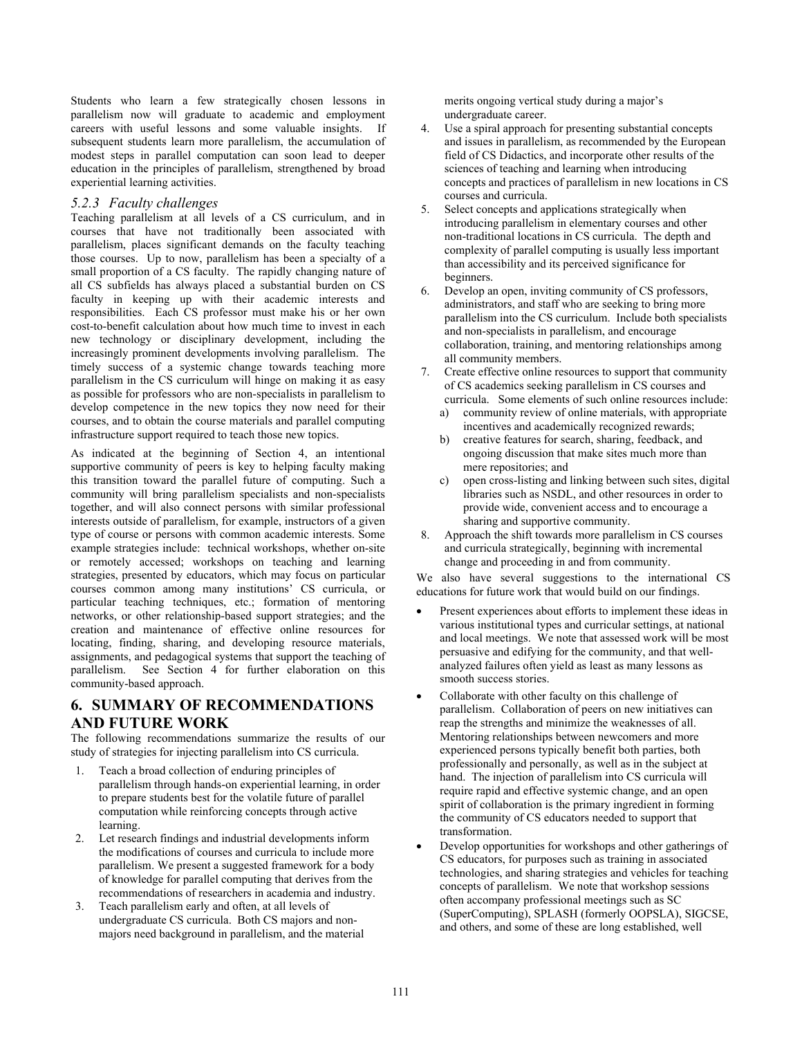Students who learn a few strategically chosen lessons in parallelism now will graduate to academic and employment careers with useful lessons and some valuable insights. If subsequent students learn more parallelism, the accumulation of modest steps in parallel computation can soon lead to deeper education in the principles of parallelism, strengthened by broad experiential learning activities.

### *5.2.3 Faculty challenges*

Teaching parallelism at all levels of a CS curriculum, and in courses that have not traditionally been associated with parallelism, places significant demands on the faculty teaching those courses. Up to now, parallelism has been a specialty of a small proportion of a CS faculty. The rapidly changing nature of all CS subfields has always placed a substantial burden on CS faculty in keeping up with their academic interests and responsibilities. Each CS professor must make his or her own cost-to-benefit calculation about how much time to invest in each new technology or disciplinary development, including the increasingly prominent developments involving parallelism. The timely success of a systemic change towards teaching more parallelism in the CS curriculum will hinge on making it as easy as possible for professors who are non-specialists in parallelism to develop competence in the new topics they now need for their courses, and to obtain the course materials and parallel computing infrastructure support required to teach those new topics.

As indicated at the beginning of Section 4, an intentional supportive community of peers is key to helping faculty making this transition toward the parallel future of computing. Such a community will bring parallelism specialists and non-specialists together, and will also connect persons with similar professional interests outside of parallelism, for example, instructors of a given type of course or persons with common academic interests. Some example strategies include: technical workshops, whether on-site or remotely accessed; workshops on teaching and learning strategies, presented by educators, which may focus on particular courses common among many institutions' CS curricula, or particular teaching techniques, etc.; formation of mentoring networks, or other relationship-based support strategies; and the creation and maintenance of effective online resources for locating, finding, sharing, and developing resource materials, assignments, and pedagogical systems that support the teaching of parallelism. See Section 4 for further elaboration on this community-based approach.

# **6. SUMMARY OF RECOMMENDATIONS AND FUTURE WORK**

The following recommendations summarize the results of our study of strategies for injecting parallelism into CS curricula.

- 1. Teach a broad collection of enduring principles of parallelism through hands-on experiential learning, in order to prepare students best for the volatile future of parallel computation while reinforcing concepts through active learning.
- 2. Let research findings and industrial developments inform the modifications of courses and curricula to include more parallelism. We present a suggested framework for a body of knowledge for parallel computing that derives from the recommendations of researchers in academia and industry.
- 3. Teach parallelism early and often, at all levels of undergraduate CS curricula. Both CS majors and nonmajors need background in parallelism, and the material

merits ongoing vertical study during a major's undergraduate career.

- 4. Use a spiral approach for presenting substantial concepts and issues in parallelism, as recommended by the European field of CS Didactics, and incorporate other results of the sciences of teaching and learning when introducing concepts and practices of parallelism in new locations in CS courses and curricula.
- 5. Select concepts and applications strategically when introducing parallelism in elementary courses and other non-traditional locations in CS curricula. The depth and complexity of parallel computing is usually less important than accessibility and its perceived significance for beginners.
- 6. Develop an open, inviting community of CS professors, administrators, and staff who are seeking to bring more parallelism into the CS curriculum. Include both specialists and non-specialists in parallelism, and encourage collaboration, training, and mentoring relationships among all community members.
- 7. Create effective online resources to support that community of CS academics seeking parallelism in CS courses and curricula. Some elements of such online resources include:
	- a) community review of online materials, with appropriate incentives and academically recognized rewards;
	- b) creative features for search, sharing, feedback, and ongoing discussion that make sites much more than mere repositories; and
	- c) open cross-listing and linking between such sites, digital libraries such as NSDL, and other resources in order to provide wide, convenient access and to encourage a sharing and supportive community.
- 8. Approach the shift towards more parallelism in CS courses and curricula strategically, beginning with incremental change and proceeding in and from community.

We also have several suggestions to the international CS educations for future work that would build on our findings.

- Present experiences about efforts to implement these ideas in various institutional types and curricular settings, at national and local meetings. We note that assessed work will be most persuasive and edifying for the community, and that wellanalyzed failures often yield as least as many lessons as smooth success stories.
- Collaborate with other faculty on this challenge of parallelism. Collaboration of peers on new initiatives can reap the strengths and minimize the weaknesses of all. Mentoring relationships between newcomers and more experienced persons typically benefit both parties, both professionally and personally, as well as in the subject at hand. The injection of parallelism into CS curricula will require rapid and effective systemic change, and an open spirit of collaboration is the primary ingredient in forming the community of CS educators needed to support that transformation.
- Develop opportunities for workshops and other gatherings of CS educators, for purposes such as training in associated technologies, and sharing strategies and vehicles for teaching concepts of parallelism. We note that workshop sessions often accompany professional meetings such as SC (SuperComputing), SPLASH (formerly OOPSLA), SIGCSE, and others, and some of these are long established, well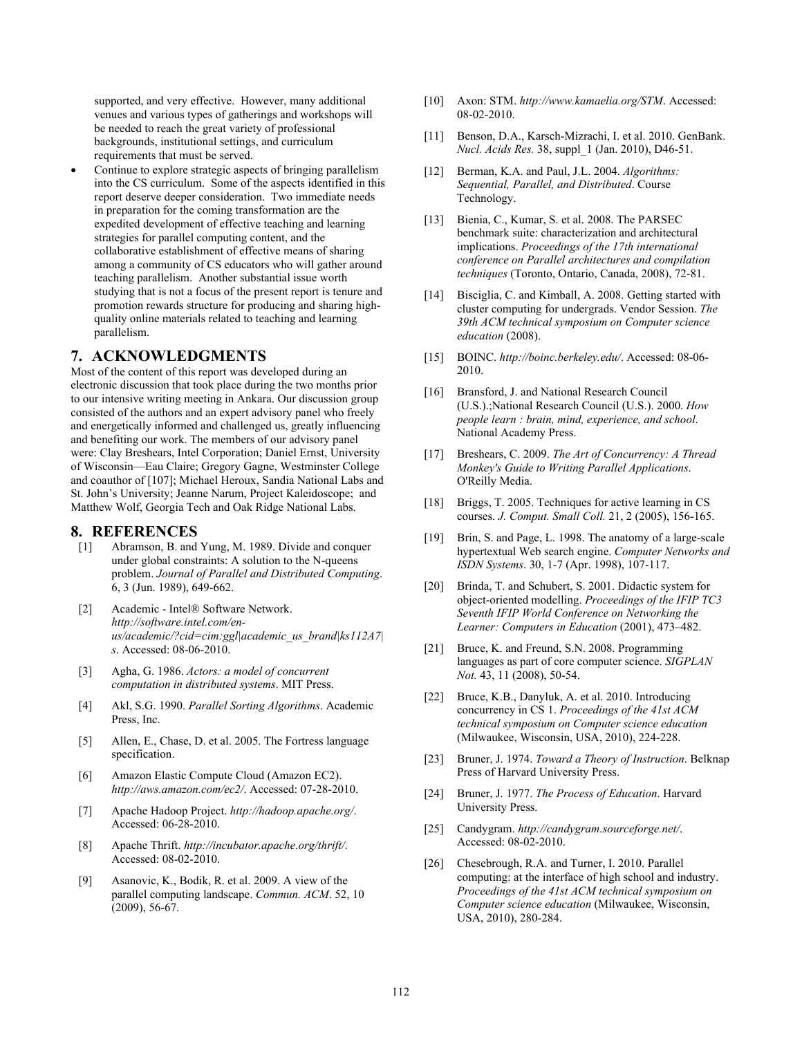supported, and very effective. However, many additional venues and various types of gatherings and workshops will be needed to reach the great variety of professional backgrounds, institutional settings, and curriculum requirements that must be served.

 Continue to explore strategic aspects of bringing parallelism into the CS curriculum. Some of the aspects identified in this report deserve deeper consideration. Two immediate needs in preparation for the coming transformation are the expedited development of effective teaching and learning strategies for parallel computing content, and the collaborative establishment of effective means of sharing among a community of CS educators who will gather around teaching parallelism. Another substantial issue worth studying that is not a focus of the present report is tenure and promotion rewards structure for producing and sharing highquality online materials related to teaching and learning parallelism.

# **7. ACKNOWLEDGMENTS**

Most of the content of this report was developed during an electronic discussion that took place during the two months prior to our intensive writing meeting in Ankara. Our discussion group consisted of the authors and an expert advisory panel who freely and energetically informed and challenged us, greatly influencing and benefiting our work. The members of our advisory panel were: Clay Breshears, Intel Corporation; Daniel Ernst, University of Wisconsin—Eau Claire; Gregory Gagne, Westminster College and coauthor of [107]; Michael Heroux, Sandia National Labs and St. John's University; Jeanne Narum, Project Kaleidoscope; and Matthew Wolf, Georgia Tech and Oak Ridge National Labs.

## **8. REFERENCES**

- [1] Abramson, B. and Yung, M. 1989. Divide and conquer under global constraints: A solution to the N-queens problem. *Journal of Parallel and Distributed Computing*. 6, 3 (Jun. 1989), 649-662.
- [2] Academic Intel® Software Network. *http://software.intel.com/enus/academic/?cid=cim:ggl|academic\_us\_brand|ks112A7| s*. Accessed: 08-06-2010.
- [3] Agha, G. 1986. *Actors: a model of concurrent computation in distributed systems*. MIT Press.
- [4] Akl, S.G. 1990. *Parallel Sorting Algorithms*. Academic Press, Inc.
- [5] Allen, E., Chase, D. et al. 2005. The Fortress language specification.
- [6] Amazon Elastic Compute Cloud (Amazon EC2). *http://aws.amazon.com/ec2/*. Accessed: 07-28-2010.
- [7] Apache Hadoop Project. *http://hadoop.apache.org/*. Accessed: 06-28-2010.
- [8] Apache Thrift. *http://incubator.apache.org/thrift/*. Accessed: 08-02-2010.
- [9] Asanovic, K., Bodik, R. et al. 2009. A view of the parallel computing landscape. *Commun. ACM*. 52, 10 (2009), 56-67.
- [10] Axon: STM. *http://www.kamaelia.org/STM*. Accessed: 08-02-2010.
- [11] Benson, D.A., Karsch-Mizrachi, I. et al. 2010. GenBank. *Nucl. Acids Res.* 38, suppl\_1 (Jan. 2010), D46-51.
- [12] Berman, K.A. and Paul, J.L. 2004. *Algorithms: Sequential, Parallel, and Distributed*. Course Technology.
- [13] Bienia, C., Kumar, S. et al. 2008. The PARSEC benchmark suite: characterization and architectural implications. *Proceedings of the 17th international conference on Parallel architectures and compilation techniques* (Toronto, Ontario, Canada, 2008), 72-81.
- [14] Bisciglia, C. and Kimball, A. 2008. Getting started with cluster computing for undergrads. Vendor Session. *The 39th ACM technical symposium on Computer science education* (2008).
- [15] BOINC. *http://boinc.berkeley.edu/*. Accessed: 08-06- 2010.
- [16] Bransford, J. and National Research Council (U.S.).;National Research Council (U.S.). 2000. *How people learn : brain, mind, experience, and school*. National Academy Press.
- [17] Breshears, C. 2009. *The Art of Concurrency: A Thread Monkey's Guide to Writing Parallel Applications*. O'Reilly Media.
- [18] Briggs, T. 2005. Techniques for active learning in CS courses. *J. Comput. Small Coll.* 21, 2 (2005), 156-165.
- [19] Brin, S. and Page, L. 1998. The anatomy of a large-scale hypertextual Web search engine. *Computer Networks and ISDN Systems*. 30, 1-7 (Apr. 1998), 107-117.
- [20] Brinda, T. and Schubert, S. 2001. Didactic system for object-oriented modelling. *Proceedings of the IFIP TC3 Seventh IFIP World Conference on Networking the Learner: Computers in Education* (2001), 473–482.
- [21] Bruce, K. and Freund, S.N. 2008. Programming languages as part of core computer science. *SIGPLAN Not.* 43, 11 (2008), 50-54.
- [22] Bruce, K.B., Danyluk, A. et al. 2010. Introducing concurrency in CS 1. *Proceedings of the 41st ACM technical symposium on Computer science education* (Milwaukee, Wisconsin, USA, 2010), 224-228.
- [23] Bruner, J. 1974. *Toward a Theory of Instruction*. Belknap Press of Harvard University Press.
- [24] Bruner, J. 1977. *The Process of Education*. Harvard University Press.
- [25] Candygram. *http://candygram.sourceforge.net/*. Accessed: 08-02-2010.
- [26] Chesebrough, R.A. and Turner, I. 2010. Parallel computing: at the interface of high school and industry. *Proceedings of the 41st ACM technical symposium on Computer science education* (Milwaukee, Wisconsin, USA, 2010), 280-284.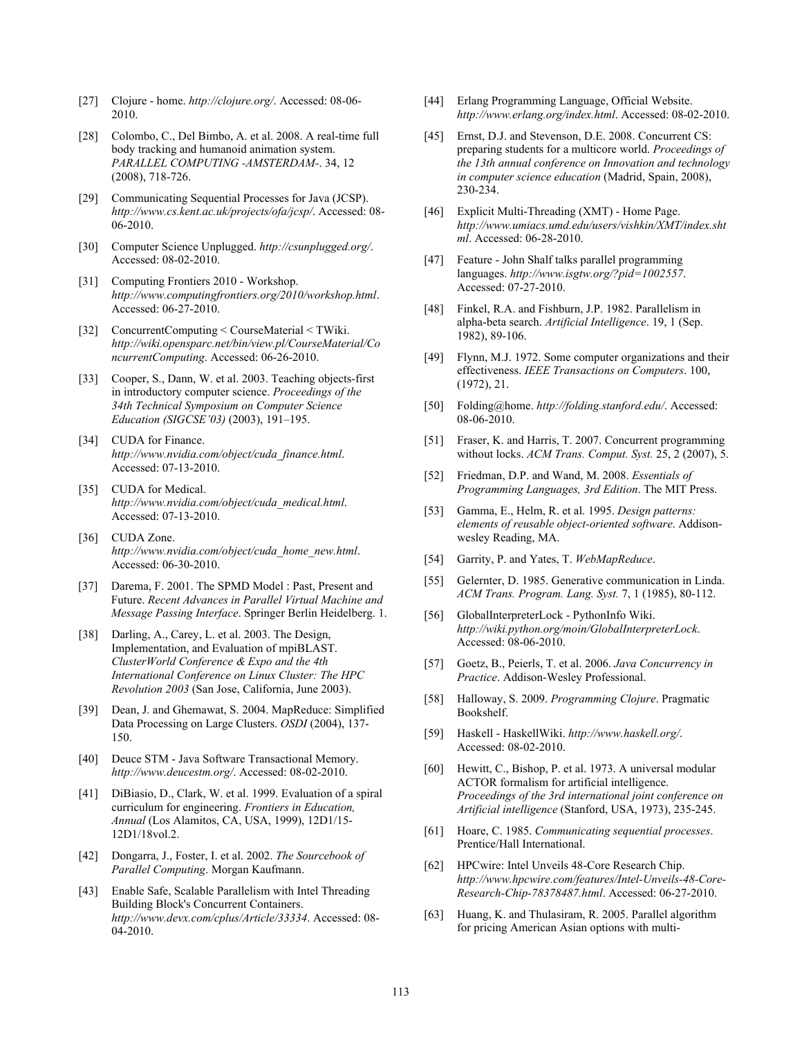- [27] Clojure home. *http://clojure.org/*. Accessed: 08-06- 2010.
- [28] Colombo, C., Del Bimbo, A. et al. 2008. A real-time full body tracking and humanoid animation system. *PARALLEL COMPUTING -AMSTERDAM-*. 34, 12 (2008), 718-726.
- [29] Communicating Sequential Processes for Java (JCSP). *http://www.cs.kent.ac.uk/projects/ofa/jcsp/*. Accessed: 08- 06-2010.
- [30] Computer Science Unplugged. *http://csunplugged.org/*. Accessed: 08-02-2010.
- [31] Computing Frontiers 2010 Workshop. *http://www.computingfrontiers.org/2010/workshop.html*. Accessed: 06-27-2010.
- [32] ConcurrentComputing < CourseMaterial < TWiki. *http://wiki.opensparc.net/bin/view.pl/CourseMaterial/Co ncurrentComputing*. Accessed: 06-26-2010.
- [33] Cooper, S., Dann, W. et al. 2003. Teaching objects-first in introductory computer science. *Proceedings of the 34th Technical Symposium on Computer Science Education (SIGCSE'03)* (2003), 191–195.
- [34] CUDA for Finance. *http://www.nvidia.com/object/cuda\_finance.html*. Accessed: 07-13-2010.
- [35] CUDA for Medical. *http://www.nvidia.com/object/cuda\_medical.html*. Accessed: 07-13-2010.
- [36] CUDA Zone. *http://www.nvidia.com/object/cuda\_home\_new.html*. Accessed: 06-30-2010.
- [37] Darema, F. 2001. The SPMD Model: Past, Present and Future. *Recent Advances in Parallel Virtual Machine and Message Passing Interface*. Springer Berlin Heidelberg. 1.
- [38] Darling, A., Carey, L. et al. 2003. The Design, Implementation, and Evaluation of mpiBLAST. *ClusterWorld Conference & Expo and the 4th International Conference on Linux Cluster: The HPC Revolution 2003* (San Jose, California, June 2003).
- [39] Dean, J. and Ghemawat, S. 2004. MapReduce: Simplified Data Processing on Large Clusters. *OSDI* (2004), 137- 150.
- [40] Deuce STM Java Software Transactional Memory. *http://www.deucestm.org/*. Accessed: 08-02-2010.
- [41] DiBiasio, D., Clark, W. et al. 1999. Evaluation of a spiral curriculum for engineering. *Frontiers in Education, Annual* (Los Alamitos, CA, USA, 1999), 12D1/15- 12D1/18vol.2.
- [42] Dongarra, J., Foster, I. et al. 2002. *The Sourcebook of Parallel Computing*. Morgan Kaufmann.
- [43] Enable Safe, Scalable Parallelism with Intel Threading Building Block's Concurrent Containers. *http://www.devx.com/cplus/Article/33334*. Accessed: 08- 04-2010.
- [44] Erlang Programming Language, Official Website. *http://www.erlang.org/index.html*. Accessed: 08-02-2010.
- [45] Ernst, D.J. and Stevenson, D.E. 2008. Concurrent CS: preparing students for a multicore world. *Proceedings of the 13th annual conference on Innovation and technology in computer science education* (Madrid, Spain, 2008), 230-234.
- [46] Explicit Multi-Threading (XMT) Home Page. *http://www.umiacs.umd.edu/users/vishkin/XMT/index.sht ml*. Accessed: 06-28-2010.
- [47] Feature John Shalf talks parallel programming languages. *http://www.isgtw.org/?pid=1002557*. Accessed: 07-27-2010.
- [48] Finkel, R.A. and Fishburn, J.P. 1982. Parallelism in alpha-beta search. *Artificial Intelligence*. 19, 1 (Sep. 1982), 89-106.
- [49] Flynn, M.J. 1972. Some computer organizations and their effectiveness. *IEEE Transactions on Computers*. 100, (1972), 21.
- [50] Folding@home. *http://folding.stanford.edu/*. Accessed: 08-06-2010.
- [51] Fraser, K. and Harris, T. 2007. Concurrent programming without locks. *ACM Trans. Comput. Syst.* 25, 2 (2007), 5.
- [52] Friedman, D.P. and Wand, M. 2008. *Essentials of Programming Languages, 3rd Edition*. The MIT Press.
- [53] Gamma, E., Helm, R. et al. 1995. *Design patterns: elements of reusable object-oriented software*. Addisonwesley Reading, MA.
- [54] Garrity, P. and Yates, T. *WebMapReduce*.
- [55] Gelernter, D. 1985. Generative communication in Linda. *ACM Trans. Program. Lang. Syst.* 7, 1 (1985), 80-112.
- [56] GlobalInterpreterLock PythonInfo Wiki. *http://wiki.python.org/moin/GlobalInterpreterLock*. Accessed: 08-06-2010.
- [57] Goetz, B., Peierls, T. et al. 2006. *Java Concurrency in Practice*. Addison-Wesley Professional.
- [58] Halloway, S. 2009. *Programming Clojure*. Pragmatic Bookshelf.
- [59] Haskell HaskellWiki. *http://www.haskell.org/*. Accessed: 08-02-2010.
- [60] Hewitt, C., Bishop, P. et al. 1973. A universal modular ACTOR formalism for artificial intelligence. *Proceedings of the 3rd international joint conference on Artificial intelligence* (Stanford, USA, 1973), 235-245.
- [61] Hoare, C. 1985. *Communicating sequential processes*. Prentice/Hall International.
- [62] HPCwire: Intel Unveils 48-Core Research Chip. *http://www.hpcwire.com/features/Intel-Unveils-48-Core-Research-Chip-78378487.html*. Accessed: 06-27-2010.
- [63] Huang, K. and Thulasiram, R. 2005. Parallel algorithm for pricing American Asian options with multi-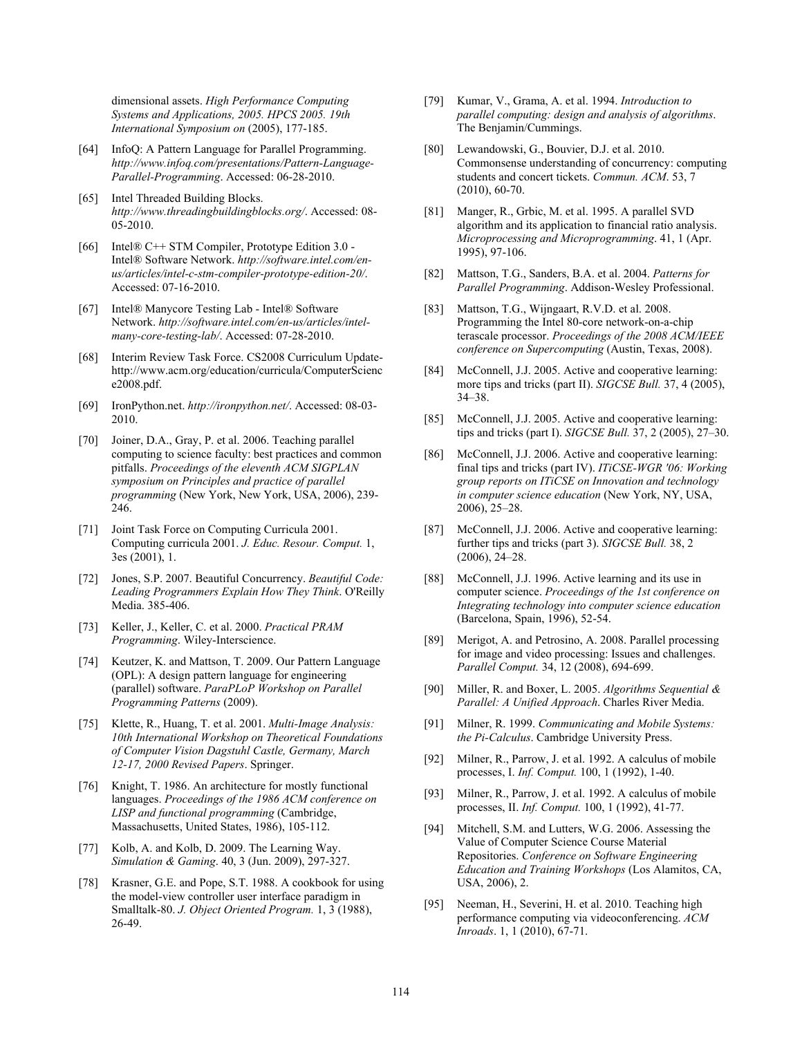dimensional assets. *High Performance Computing Systems and Applications, 2005. HPCS 2005. 19th International Symposium on* (2005), 177-185.

- [64] InfoQ: A Pattern Language for Parallel Programming. *http://www.infoq.com/presentations/Pattern-Language-Parallel-Programming*. Accessed: 06-28-2010.
- [65] Intel Threaded Building Blocks. *http://www.threadingbuildingblocks.org/*. Accessed: 08- 05-2010.
- [66] Intel® C++ STM Compiler, Prototype Edition 3.0 -Intel® Software Network. *http://software.intel.com/enus/articles/intel-c-stm-compiler-prototype-edition-20/*. Accessed: 07-16-2010.
- [67] Intel® Manycore Testing Lab Intel® Software Network. *http://software.intel.com/en-us/articles/intelmany-core-testing-lab/*. Accessed: 07-28-2010.
- [68] Interim Review Task Force. CS2008 Curriculum Updatehttp://www.acm.org/education/curricula/ComputerScienc e2008.pdf.
- [69] IronPython.net. *http://ironpython.net/*. Accessed: 08-03- 2010.
- [70] Joiner, D.A., Gray, P. et al. 2006. Teaching parallel computing to science faculty: best practices and common pitfalls. *Proceedings of the eleventh ACM SIGPLAN symposium on Principles and practice of parallel programming* (New York, New York, USA, 2006), 239- 246.
- [71] Joint Task Force on Computing Curricula 2001. Computing curricula 2001. *J. Educ. Resour. Comput.* 1, 3es (2001), 1.
- [72] Jones, S.P. 2007. Beautiful Concurrency. *Beautiful Code: Leading Programmers Explain How They Think*. O'Reilly Media. 385-406.
- [73] Keller, J., Keller, C. et al. 2000. *Practical PRAM Programming*. Wiley-Interscience.
- [74] Keutzer, K. and Mattson, T. 2009. Our Pattern Language (OPL): A design pattern language for engineering (parallel) software. *ParaPLoP Workshop on Parallel Programming Patterns* (2009).
- [75] Klette, R., Huang, T. et al. 2001. *Multi-Image Analysis: 10th International Workshop on Theoretical Foundations of Computer Vision Dagstuhl Castle, Germany, March 12-17, 2000 Revised Papers*. Springer.
- [76] Knight, T. 1986. An architecture for mostly functional languages. *Proceedings of the 1986 ACM conference on LISP and functional programming* (Cambridge, Massachusetts, United States, 1986), 105-112.
- [77] Kolb, A. and Kolb, D. 2009. The Learning Way. *Simulation & Gaming*. 40, 3 (Jun. 2009), 297-327.
- [78] Krasner, G.E. and Pope, S.T. 1988. A cookbook for using the model-view controller user interface paradigm in Smalltalk-80. *J. Object Oriented Program.* 1, 3 (1988), 26-49.
- [79] Kumar, V., Grama, A. et al. 1994. *Introduction to parallel computing: design and analysis of algorithms*. The Benjamin/Cummings.
- [80] Lewandowski, G., Bouvier, D.J. et al. 2010. Commonsense understanding of concurrency: computing students and concert tickets. *Commun. ACM*. 53, 7 (2010), 60-70.
- [81] Manger, R., Grbic, M. et al. 1995. A parallel SVD algorithm and its application to financial ratio analysis. *Microprocessing and Microprogramming*. 41, 1 (Apr. 1995), 97-106.
- [82] Mattson, T.G., Sanders, B.A. et al. 2004. *Patterns for Parallel Programming*. Addison-Wesley Professional.
- [83] Mattson, T.G., Wijngaart, R.V.D. et al. 2008. Programming the Intel 80-core network-on-a-chip terascale processor. *Proceedings of the 2008 ACM/IEEE conference on Supercomputing* (Austin, Texas, 2008).
- [84] McConnell, J.J. 2005. Active and cooperative learning: more tips and tricks (part II). *SIGCSE Bull.* 37, 4 (2005), 34–38.
- [85] McConnell, J.J. 2005. Active and cooperative learning: tips and tricks (part I). *SIGCSE Bull.* 37, 2 (2005), 27–30.
- [86] McConnell, J.J. 2006. Active and cooperative learning: final tips and tricks (part IV). *ITiCSE-WGR '06: Working group reports on ITiCSE on Innovation and technology in computer science education* (New York, NY, USA, 2006), 25–28.
- [87] McConnell, J.J. 2006. Active and cooperative learning: further tips and tricks (part 3). *SIGCSE Bull.* 38, 2 (2006), 24–28.
- [88] McConnell, J.J. 1996. Active learning and its use in computer science. *Proceedings of the 1st conference on Integrating technology into computer science education* (Barcelona, Spain, 1996), 52-54.
- [89] Merigot, A. and Petrosino, A. 2008. Parallel processing for image and video processing: Issues and challenges. *Parallel Comput.* 34, 12 (2008), 694-699.
- [90] Miller, R. and Boxer, L. 2005. *Algorithms Sequential & Parallel: A Unified Approach*. Charles River Media.
- [91] Milner, R. 1999. *Communicating and Mobile Systems: the Pi-Calculus*. Cambridge University Press.
- [92] Milner, R., Parrow, J. et al. 1992. A calculus of mobile processes, I. *Inf. Comput.* 100, 1 (1992), 1-40.
- [93] Milner, R., Parrow, J. et al. 1992. A calculus of mobile processes, II. *Inf. Comput.* 100, 1 (1992), 41-77.
- [94] Mitchell, S.M. and Lutters, W.G. 2006. Assessing the Value of Computer Science Course Material Repositories. *Conference on Software Engineering Education and Training Workshops* (Los Alamitos, CA, USA, 2006), 2.
- [95] Neeman, H., Severini, H. et al. 2010. Teaching high performance computing via videoconferencing. *ACM Inroads*. 1, 1 (2010), 67-71.